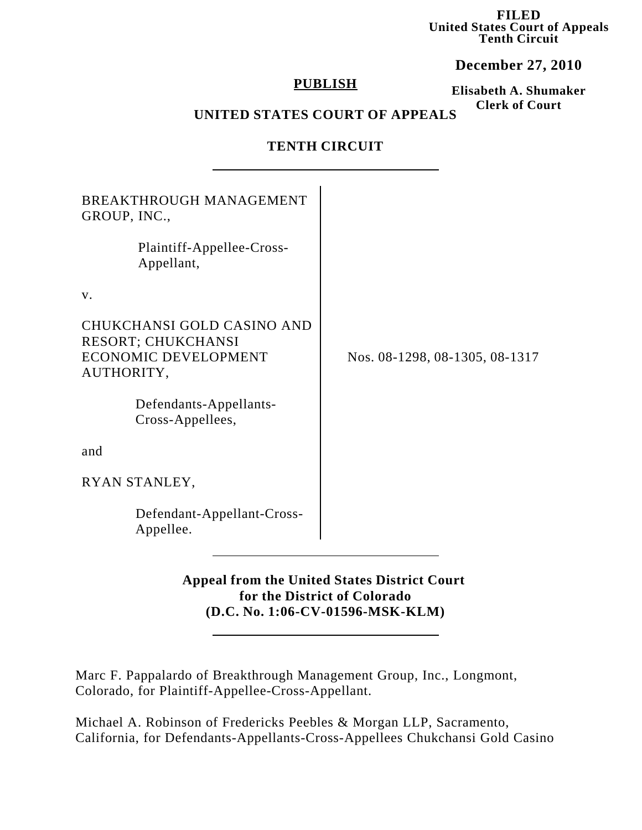**FILED United States Court of Appeals Tenth Circuit**

**December 27, 2010**

### **PUBLISH**

**Elisabeth A. Shumaker Clerk of Court**

# **UNITED STATES COURT OF APPEALS**

# **TENTH CIRCUIT**

| BREAKTHROUGH MANAGEMENT<br>GROUP, INC.,                                                                                 |                                |
|-------------------------------------------------------------------------------------------------------------------------|--------------------------------|
| Plaintiff-Appellee-Cross-<br>Appellant,                                                                                 |                                |
| V.                                                                                                                      |                                |
| CHUKCHANSI GOLD CASINO AND<br>RESORT; CHUKCHANSI<br><b>ECONOMIC DEVELOPMENT</b><br>AUTHORITY,<br>Defendants-Appellants- | Nos. 08-1298, 08-1305, 08-1317 |
| Cross-Appellees,                                                                                                        |                                |
| and                                                                                                                     |                                |
| RYAN STANLEY,                                                                                                           |                                |
| Defendant-Appellant-Cross-<br>Appellee.                                                                                 |                                |

# **Appeal from the United States District Court for the District of Colorado (D.C. No. 1:06-CV-01596-MSK-KLM)**

Marc F. Pappalardo of Breakthrough Management Group, Inc., Longmont, Colorado, for Plaintiff-Appellee-Cross-Appellant.

Michael A. Robinson of Fredericks Peebles & Morgan LLP, Sacramento, California, for Defendants-Appellants-Cross-Appellees Chukchansi Gold Casino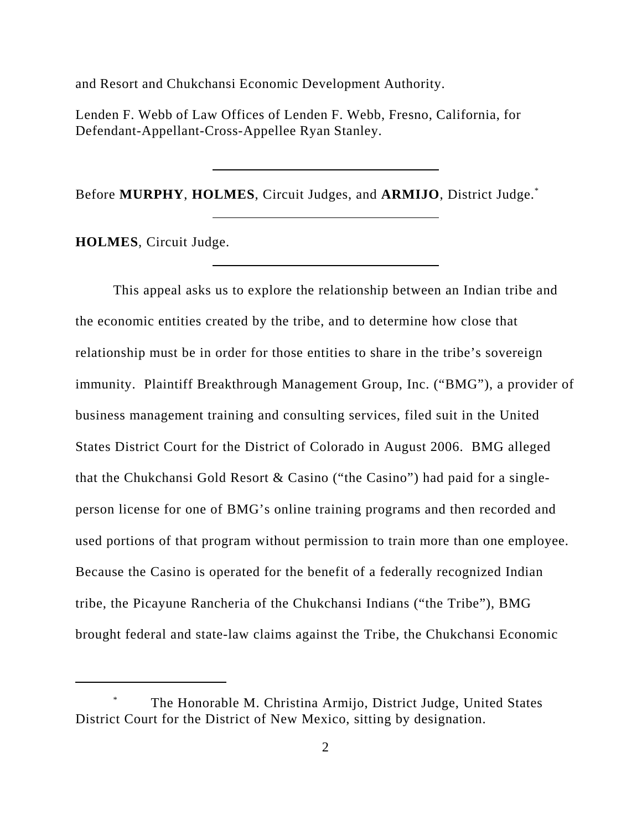and Resort and Chukchansi Economic Development Authority.

Lenden F. Webb of Law Offices of Lenden F. Webb, Fresno, California, for Defendant-Appellant-Cross-Appellee Ryan Stanley.

Before **MURPHY**, **HOLMES**, Circuit Judges, and **ARMIJO**, District Judge.\*

**HOLMES**, Circuit Judge.

This appeal asks us to explore the relationship between an Indian tribe and the economic entities created by the tribe, and to determine how close that relationship must be in order for those entities to share in the tribe's sovereign immunity. Plaintiff Breakthrough Management Group, Inc. ("BMG"), a provider of business management training and consulting services, filed suit in the United States District Court for the District of Colorado in August 2006. BMG alleged that the Chukchansi Gold Resort & Casino ("the Casino") had paid for a singleperson license for one of BMG's online training programs and then recorded and used portions of that program without permission to train more than one employee. Because the Casino is operated for the benefit of a federally recognized Indian tribe, the Picayune Rancheria of the Chukchansi Indians ("the Tribe"), BMG brought federal and state-law claims against the Tribe, the Chukchansi Economic

The Honorable M. Christina Armijo, District Judge, United States District Court for the District of New Mexico, sitting by designation.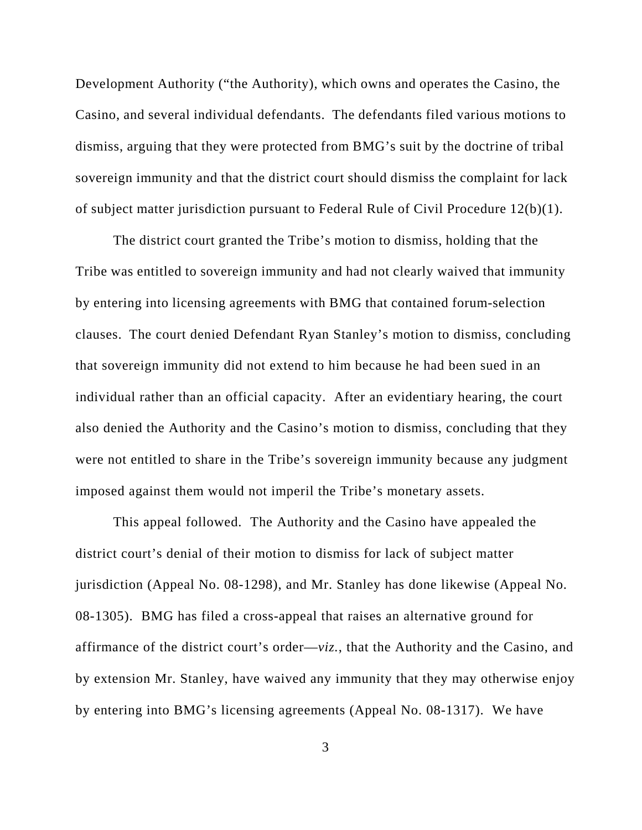Development Authority ("the Authority), which owns and operates the Casino, the Casino, and several individual defendants. The defendants filed various motions to dismiss, arguing that they were protected from BMG's suit by the doctrine of tribal sovereign immunity and that the district court should dismiss the complaint for lack of subject matter jurisdiction pursuant to Federal Rule of Civil Procedure 12(b)(1).

The district court granted the Tribe's motion to dismiss, holding that the Tribe was entitled to sovereign immunity and had not clearly waived that immunity by entering into licensing agreements with BMG that contained forum-selection clauses. The court denied Defendant Ryan Stanley's motion to dismiss, concluding that sovereign immunity did not extend to him because he had been sued in an individual rather than an official capacity. After an evidentiary hearing, the court also denied the Authority and the Casino's motion to dismiss, concluding that they were not entitled to share in the Tribe's sovereign immunity because any judgment imposed against them would not imperil the Tribe's monetary assets.

This appeal followed. The Authority and the Casino have appealed the district court's denial of their motion to dismiss for lack of subject matter jurisdiction (Appeal No. 08-1298), and Mr. Stanley has done likewise (Appeal No. 08-1305). BMG has filed a cross-appeal that raises an alternative ground for affirmance of the district court's order—*viz.*, that the Authority and the Casino, and by extension Mr. Stanley, have waived any immunity that they may otherwise enjoy by entering into BMG's licensing agreements (Appeal No. 08-1317). We have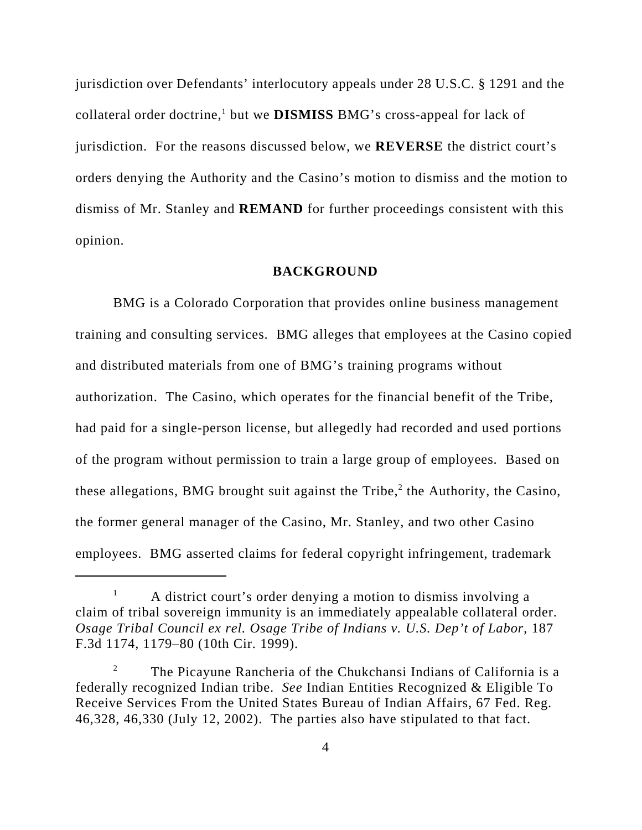jurisdiction over Defendants' interlocutory appeals under 28 U.S.C. § 1291 and the collateral order doctrine,<sup>1</sup> but we **DISMISS** BMG's cross-appeal for lack of jurisdiction. For the reasons discussed below, we **REVERSE** the district court's orders denying the Authority and the Casino's motion to dismiss and the motion to dismiss of Mr. Stanley and **REMAND** for further proceedings consistent with this opinion.

#### **BACKGROUND**

BMG is a Colorado Corporation that provides online business management training and consulting services. BMG alleges that employees at the Casino copied and distributed materials from one of BMG's training programs without authorization. The Casino, which operates for the financial benefit of the Tribe, had paid for a single-person license, but allegedly had recorded and used portions of the program without permission to train a large group of employees. Based on these allegations, BMG brought suit against the Tribe, $2$  the Authority, the Casino, the former general manager of the Casino, Mr. Stanley, and two other Casino employees. BMG asserted claims for federal copyright infringement, trademark

 $1$  A district court's order denying a motion to dismiss involving a claim of tribal sovereign immunity is an immediately appealable collateral order. *Osage Tribal Council ex rel. Osage Tribe of Indians v. U.S. Dep't of Labor*, 187 F.3d 1174, 1179–80 (10th Cir. 1999).

<sup>&</sup>lt;sup>2</sup> The Picayune Rancheria of the Chukchansi Indians of California is a federally recognized Indian tribe. *See* Indian Entities Recognized & Eligible To Receive Services From the United States Bureau of Indian Affairs, 67 Fed. Reg. 46,328, 46,330 (July 12, 2002). The parties also have stipulated to that fact.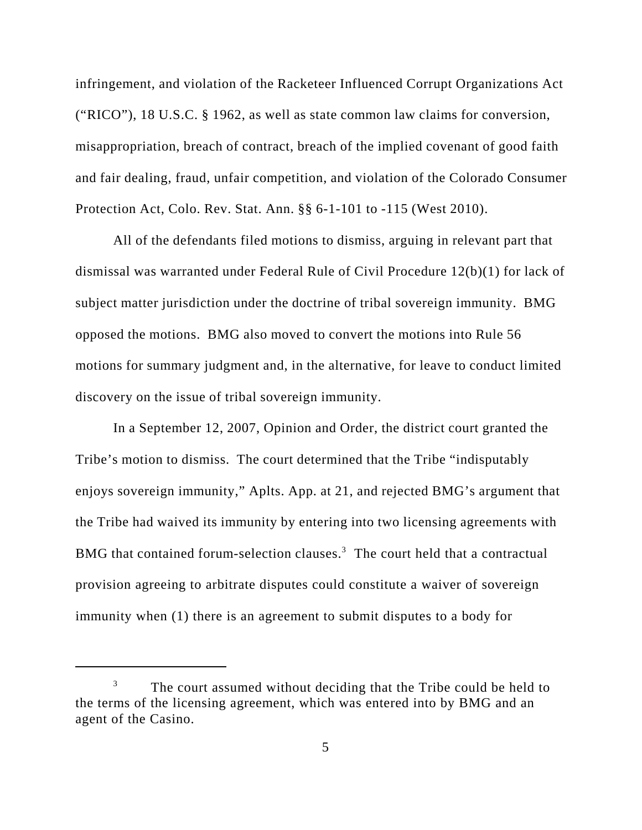infringement, and violation of the Racketeer Influenced Corrupt Organizations Act ("RICO"), 18 U.S.C. § 1962, as well as state common law claims for conversion, misappropriation, breach of contract, breach of the implied covenant of good faith and fair dealing, fraud, unfair competition, and violation of the Colorado Consumer Protection Act, Colo. Rev. Stat. Ann. §§ 6-1-101 to -115 (West 2010).

All of the defendants filed motions to dismiss, arguing in relevant part that dismissal was warranted under Federal Rule of Civil Procedure 12(b)(1) for lack of subject matter jurisdiction under the doctrine of tribal sovereign immunity. BMG opposed the motions. BMG also moved to convert the motions into Rule 56 motions for summary judgment and, in the alternative, for leave to conduct limited discovery on the issue of tribal sovereign immunity.

In a September 12, 2007, Opinion and Order, the district court granted the Tribe's motion to dismiss. The court determined that the Tribe "indisputably enjoys sovereign immunity," Aplts. App. at 21, and rejected BMG's argument that the Tribe had waived its immunity by entering into two licensing agreements with BMG that contained forum-selection clauses.<sup>3</sup> The court held that a contractual provision agreeing to arbitrate disputes could constitute a waiver of sovereign immunity when (1) there is an agreement to submit disputes to a body for

The court assumed without deciding that the Tribe could be held to the terms of the licensing agreement, which was entered into by BMG and an agent of the Casino.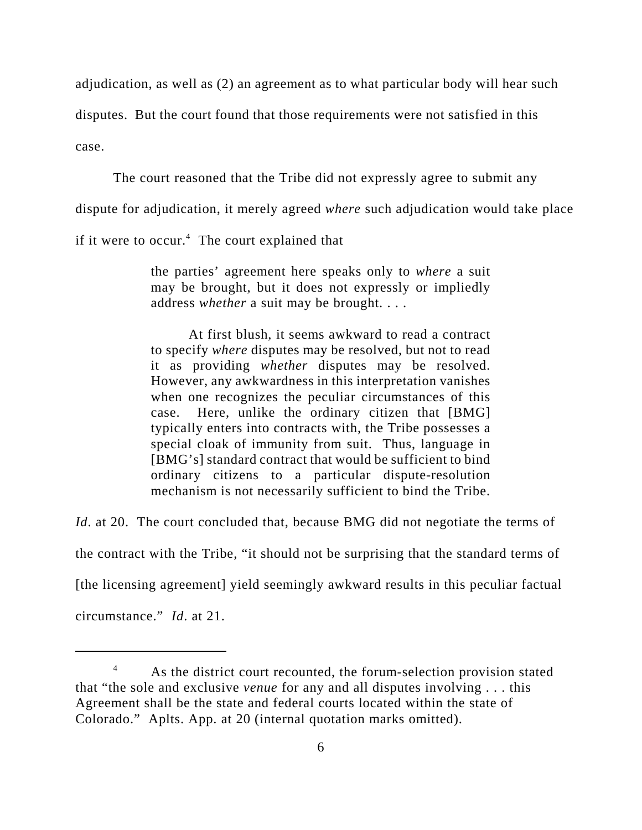adjudication, as well as (2) an agreement as to what particular body will hear such

disputes. But the court found that those requirements were not satisfied in this

case.

The court reasoned that the Tribe did not expressly agree to submit any

dispute for adjudication, it merely agreed *where* such adjudication would take place

if it were to occur.<sup>4</sup> The court explained that

the parties' agreement here speaks only to *where* a suit may be brought, but it does not expressly or impliedly address *whether* a suit may be brought. . . .

At first blush, it seems awkward to read a contract to specify *where* disputes may be resolved, but not to read it as providing *whether* disputes may be resolved. However, any awkwardness in this interpretation vanishes when one recognizes the peculiar circumstances of this case. Here, unlike the ordinary citizen that [BMG] typically enters into contracts with, the Tribe possesses a special cloak of immunity from suit. Thus, language in [BMG's] standard contract that would be sufficient to bind ordinary citizens to a particular dispute-resolution mechanism is not necessarily sufficient to bind the Tribe.

*Id.* at 20. The court concluded that, because BMG did not negotiate the terms of

the contract with the Tribe, "it should not be surprising that the standard terms of

[the licensing agreement] yield seemingly awkward results in this peculiar factual

circumstance." *Id*. at 21.

<sup>&</sup>lt;sup>4</sup> As the district court recounted, the forum-selection provision stated that "the sole and exclusive *venue* for any and all disputes involving . . . this Agreement shall be the state and federal courts located within the state of Colorado." Aplts. App. at 20 (internal quotation marks omitted).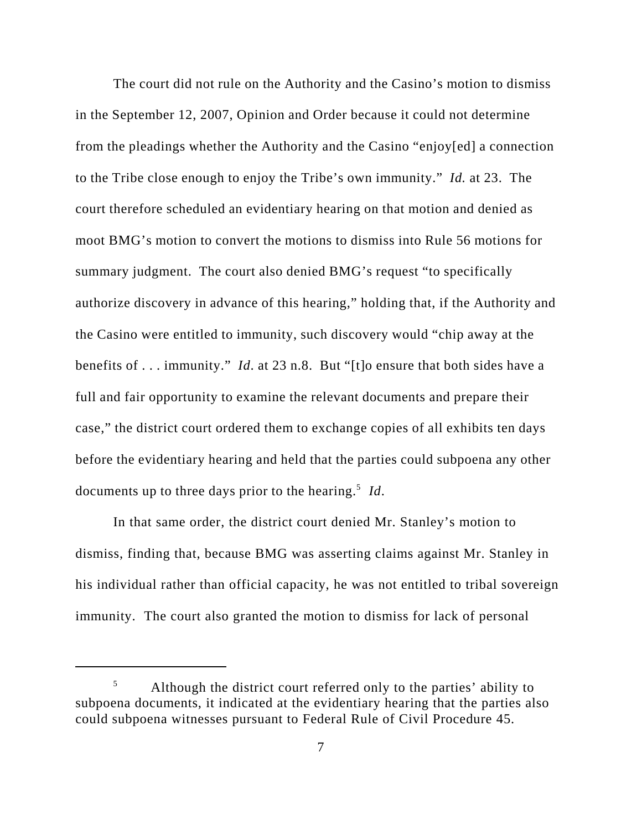The court did not rule on the Authority and the Casino's motion to dismiss in the September 12, 2007, Opinion and Order because it could not determine from the pleadings whether the Authority and the Casino "enjoy[ed] a connection to the Tribe close enough to enjoy the Tribe's own immunity." *Id.* at 23. The court therefore scheduled an evidentiary hearing on that motion and denied as moot BMG's motion to convert the motions to dismiss into Rule 56 motions for summary judgment. The court also denied BMG's request "to specifically authorize discovery in advance of this hearing," holding that, if the Authority and the Casino were entitled to immunity, such discovery would "chip away at the benefits of . . . immunity." *Id*. at 23 n.8. But "[t]o ensure that both sides have a full and fair opportunity to examine the relevant documents and prepare their case," the district court ordered them to exchange copies of all exhibits ten days before the evidentiary hearing and held that the parties could subpoena any other documents up to three days prior to the hearing.5 *Id*.

In that same order, the district court denied Mr. Stanley's motion to dismiss, finding that, because BMG was asserting claims against Mr. Stanley in his individual rather than official capacity, he was not entitled to tribal sovereign immunity. The court also granted the motion to dismiss for lack of personal

<sup>&</sup>lt;sup>5</sup> Although the district court referred only to the parties' ability to subpoena documents, it indicated at the evidentiary hearing that the parties also could subpoena witnesses pursuant to Federal Rule of Civil Procedure 45.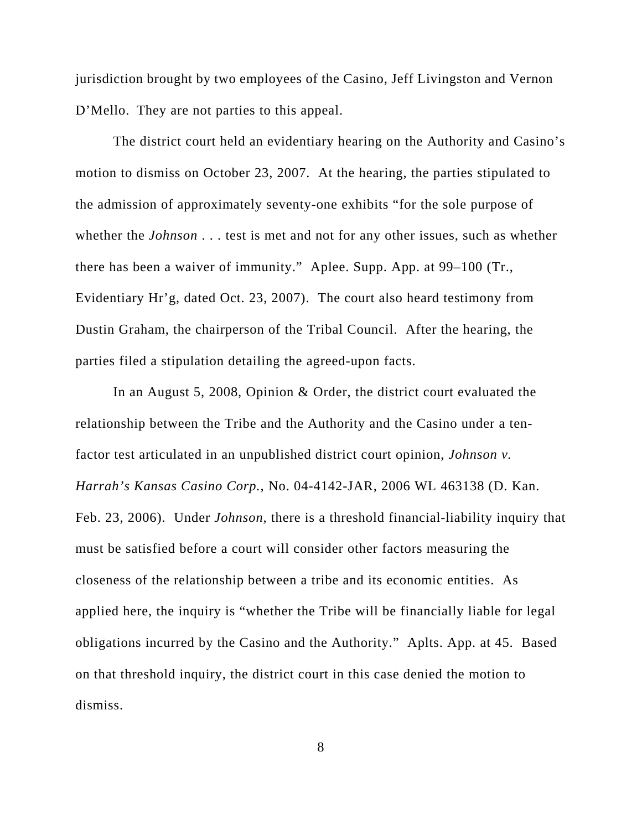jurisdiction brought by two employees of the Casino, Jeff Livingston and Vernon D'Mello. They are not parties to this appeal.

The district court held an evidentiary hearing on the Authority and Casino's motion to dismiss on October 23, 2007. At the hearing, the parties stipulated to the admission of approximately seventy-one exhibits "for the sole purpose of whether the *Johnson* . . . test is met and not for any other issues, such as whether there has been a waiver of immunity." Aplee. Supp. App. at 99–100 (Tr., Evidentiary Hr'g, dated Oct. 23, 2007). The court also heard testimony from Dustin Graham, the chairperson of the Tribal Council. After the hearing, the parties filed a stipulation detailing the agreed-upon facts.

In an August 5, 2008, Opinion & Order, the district court evaluated the relationship between the Tribe and the Authority and the Casino under a tenfactor test articulated in an unpublished district court opinion, *Johnson v. Harrah's Kansas Casino Corp.*, No. 04-4142-JAR, 2006 WL 463138 (D. Kan. Feb. 23, 2006). Under *Johnson,* there is a threshold financial-liability inquiry that must be satisfied before a court will consider other factors measuring the closeness of the relationship between a tribe and its economic entities. As applied here, the inquiry is "whether the Tribe will be financially liable for legal obligations incurred by the Casino and the Authority." Aplts. App. at 45. Based on that threshold inquiry, the district court in this case denied the motion to dismiss.

8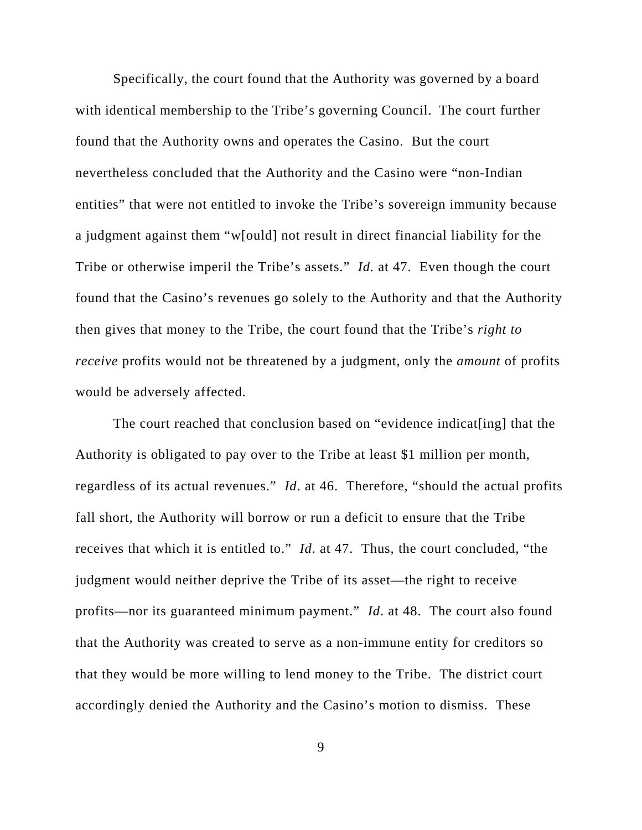Specifically, the court found that the Authority was governed by a board with identical membership to the Tribe's governing Council. The court further found that the Authority owns and operates the Casino. But the court nevertheless concluded that the Authority and the Casino were "non-Indian entities" that were not entitled to invoke the Tribe's sovereign immunity because a judgment against them "w[ould] not result in direct financial liability for the Tribe or otherwise imperil the Tribe's assets." *Id.* at 47. Even though the court found that the Casino's revenues go solely to the Authority and that the Authority then gives that money to the Tribe, the court found that the Tribe's *right to receive* profits would not be threatened by a judgment, only the *amount* of profits would be adversely affected.

The court reached that conclusion based on "evidence indicat [ing] that the Authority is obligated to pay over to the Tribe at least \$1 million per month, regardless of its actual revenues." *Id*. at 46. Therefore, "should the actual profits fall short, the Authority will borrow or run a deficit to ensure that the Tribe receives that which it is entitled to." *Id*. at 47. Thus, the court concluded, "the judgment would neither deprive the Tribe of its asset—the right to receive profits—nor its guaranteed minimum payment." *Id*. at 48. The court also found that the Authority was created to serve as a non-immune entity for creditors so that they would be more willing to lend money to the Tribe. The district court accordingly denied the Authority and the Casino's motion to dismiss. These

9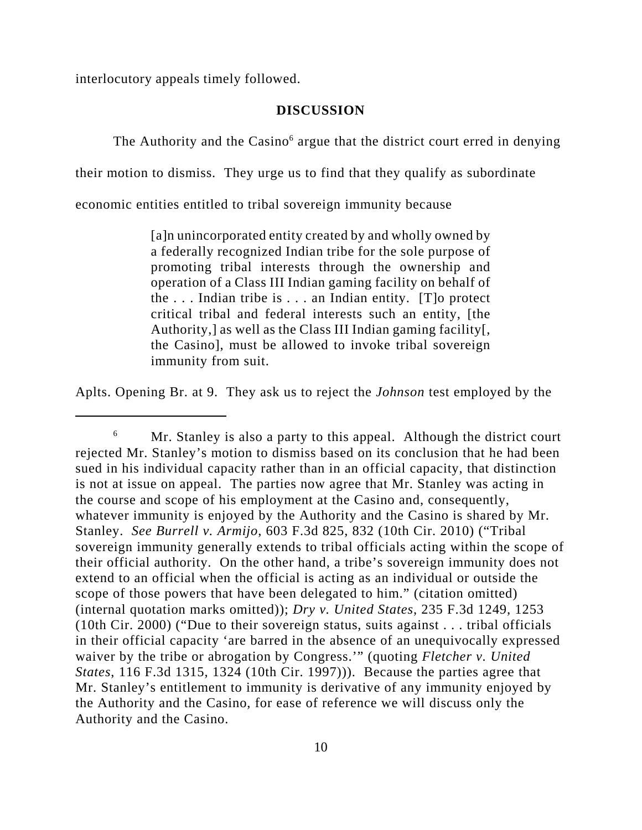interlocutory appeals timely followed.

#### **DISCUSSION**

The Authority and the Casino<sup>6</sup> argue that the district court erred in denying

their motion to dismiss. They urge us to find that they qualify as subordinate

economic entities entitled to tribal sovereign immunity because

[a]n unincorporated entity created by and wholly owned by a federally recognized Indian tribe for the sole purpose of promoting tribal interests through the ownership and operation of a Class III Indian gaming facility on behalf of the . . . Indian tribe is . . . an Indian entity. [T]o protect critical tribal and federal interests such an entity, [the Authority,] as well as the Class III Indian gaming facility[, the Casino], must be allowed to invoke tribal sovereign immunity from suit.

Aplts. Opening Br. at 9. They ask us to reject the *Johnson* test employed by the

 $6$  Mr. Stanley is also a party to this appeal. Although the district court rejected Mr. Stanley's motion to dismiss based on its conclusion that he had been sued in his individual capacity rather than in an official capacity, that distinction is not at issue on appeal. The parties now agree that Mr. Stanley was acting in the course and scope of his employment at the Casino and, consequently, whatever immunity is enjoyed by the Authority and the Casino is shared by Mr. Stanley. *See Burrell v. Armijo*, 603 F.3d 825, 832 (10th Cir. 2010) ("Tribal sovereign immunity generally extends to tribal officials acting within the scope of their official authority. On the other hand, a tribe's sovereign immunity does not extend to an official when the official is acting as an individual or outside the scope of those powers that have been delegated to him." (citation omitted) (internal quotation marks omitted)); *Dry v. United States*, 235 F.3d 1249, 1253 (10th Cir. 2000) ("Due to their sovereign status, suits against . . . tribal officials in their official capacity 'are barred in the absence of an unequivocally expressed waiver by the tribe or abrogation by Congress.'" (quoting *Fletcher v. United States*, 116 F.3d 1315, 1324 (10th Cir. 1997))). Because the parties agree that Mr. Stanley's entitlement to immunity is derivative of any immunity enjoyed by the Authority and the Casino, for ease of reference we will discuss only the Authority and the Casino.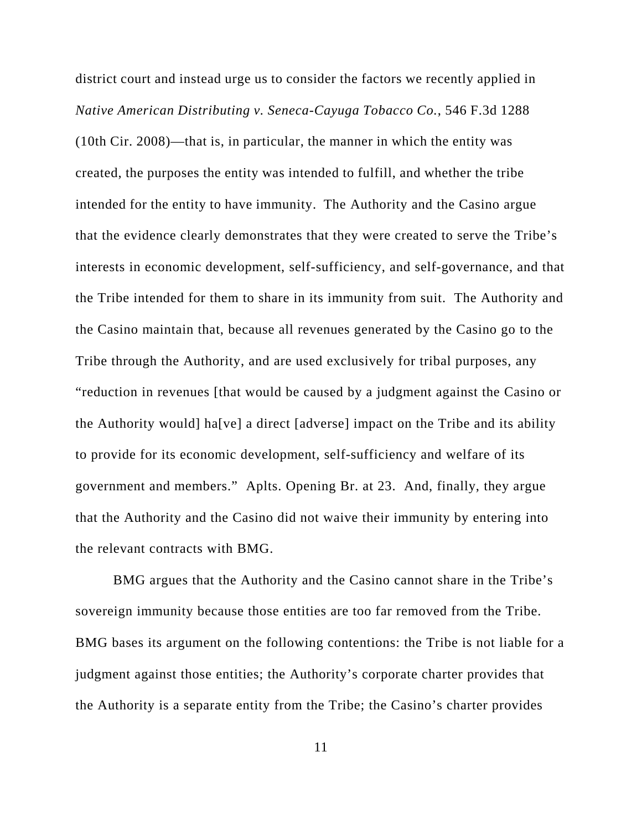district court and instead urge us to consider the factors we recently applied in *Native American Distributing v. Seneca-Cayuga Tobacco Co.*, 546 F.3d 1288 (10th Cir. 2008)—that is, in particular, the manner in which the entity was created, the purposes the entity was intended to fulfill, and whether the tribe intended for the entity to have immunity. The Authority and the Casino argue that the evidence clearly demonstrates that they were created to serve the Tribe's interests in economic development, self-sufficiency, and self-governance, and that the Tribe intended for them to share in its immunity from suit. The Authority and the Casino maintain that, because all revenues generated by the Casino go to the Tribe through the Authority, and are used exclusively for tribal purposes, any "reduction in revenues [that would be caused by a judgment against the Casino or the Authority would] ha[ve] a direct [adverse] impact on the Tribe and its ability to provide for its economic development, self-sufficiency and welfare of its government and members." Aplts. Opening Br. at 23. And, finally, they argue that the Authority and the Casino did not waive their immunity by entering into the relevant contracts with BMG.

BMG argues that the Authority and the Casino cannot share in the Tribe's sovereign immunity because those entities are too far removed from the Tribe. BMG bases its argument on the following contentions: the Tribe is not liable for a judgment against those entities; the Authority's corporate charter provides that the Authority is a separate entity from the Tribe; the Casino's charter provides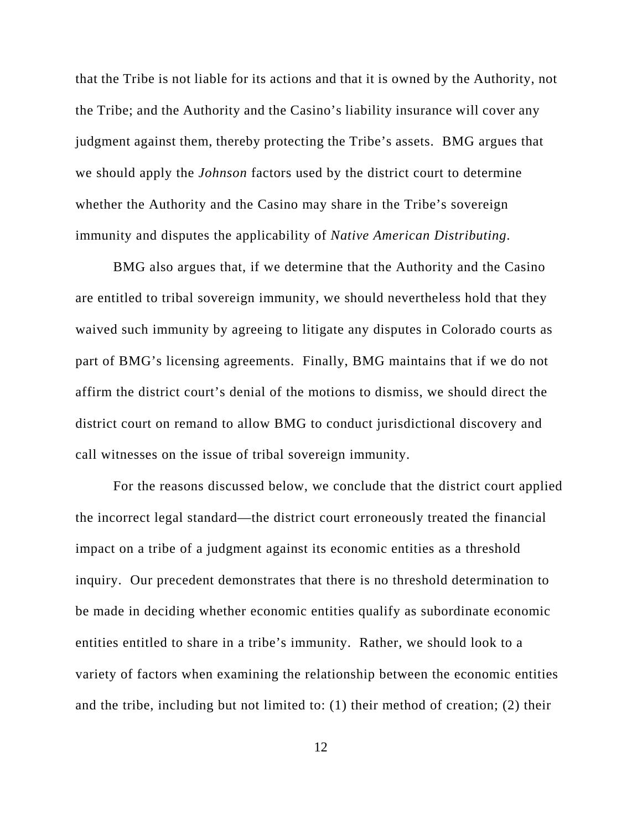that the Tribe is not liable for its actions and that it is owned by the Authority, not the Tribe; and the Authority and the Casino's liability insurance will cover any judgment against them, thereby protecting the Tribe's assets.BMG argues that we should apply the *Johnson* factors used by the district court to determine whether the Authority and the Casino may share in the Tribe's sovereign immunity and disputes the applicability of *Native American Distributing*.

BMG also argues that, if we determine that the Authority and the Casino are entitled to tribal sovereign immunity, we should nevertheless hold that they waived such immunity by agreeing to litigate any disputes in Colorado courts as part of BMG's licensing agreements. Finally, BMG maintains that if we do not affirm the district court's denial of the motions to dismiss, we should direct the district court on remand to allow BMG to conduct jurisdictional discovery and call witnesses on the issue of tribal sovereign immunity.

For the reasons discussed below, we conclude that the district court applied the incorrect legal standard—the district court erroneously treated the financial impact on a tribe of a judgment against its economic entities as a threshold inquiry. Our precedent demonstrates that there is no threshold determination to be made in deciding whether economic entities qualify as subordinate economic entities entitled to share in a tribe's immunity. Rather, we should look to a variety of factors when examining the relationship between the economic entities and the tribe, including but not limited to: (1) their method of creation; (2) their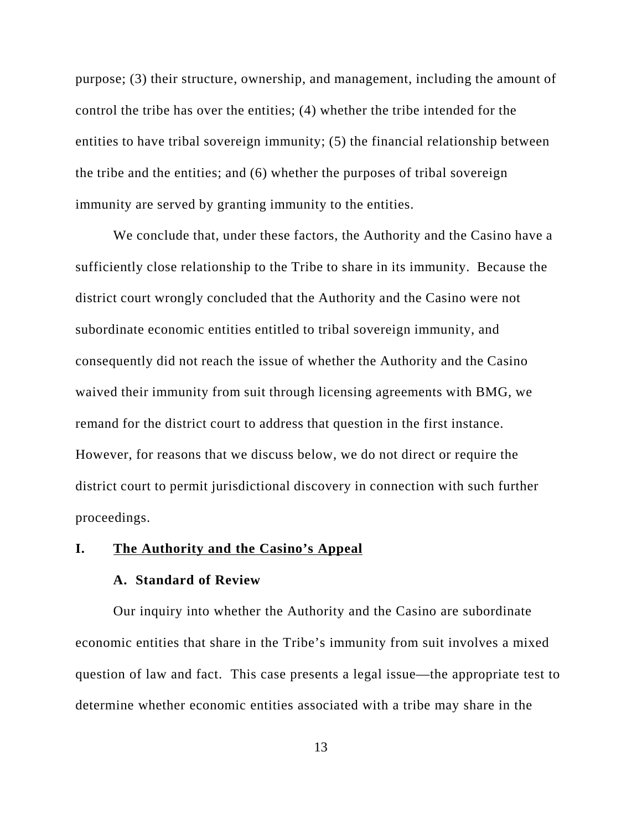purpose; (3) their structure, ownership, and management, including the amount of control the tribe has over the entities; (4) whether the tribe intended for the entities to have tribal sovereign immunity; (5) the financial relationship between the tribe and the entities; and (6) whether the purposes of tribal sovereign immunity are served by granting immunity to the entities.

We conclude that, under these factors, the Authority and the Casino have a sufficiently close relationship to the Tribe to share in its immunity. Because the district court wrongly concluded that the Authority and the Casino were not subordinate economic entities entitled to tribal sovereign immunity, and consequently did not reach the issue of whether the Authority and the Casino waived their immunity from suit through licensing agreements with BMG, we remand for the district court to address that question in the first instance. However, for reasons that we discuss below, we do not direct or require the district court to permit jurisdictional discovery in connection with such further proceedings.

#### **I. The Authority and the Casino's Appeal**

### **A. Standard of Review**

Our inquiry into whether the Authority and the Casino are subordinate economic entities that share in the Tribe's immunity from suit involves a mixed question of law and fact. This case presents a legal issue—the appropriate test to determine whether economic entities associated with a tribe may share in the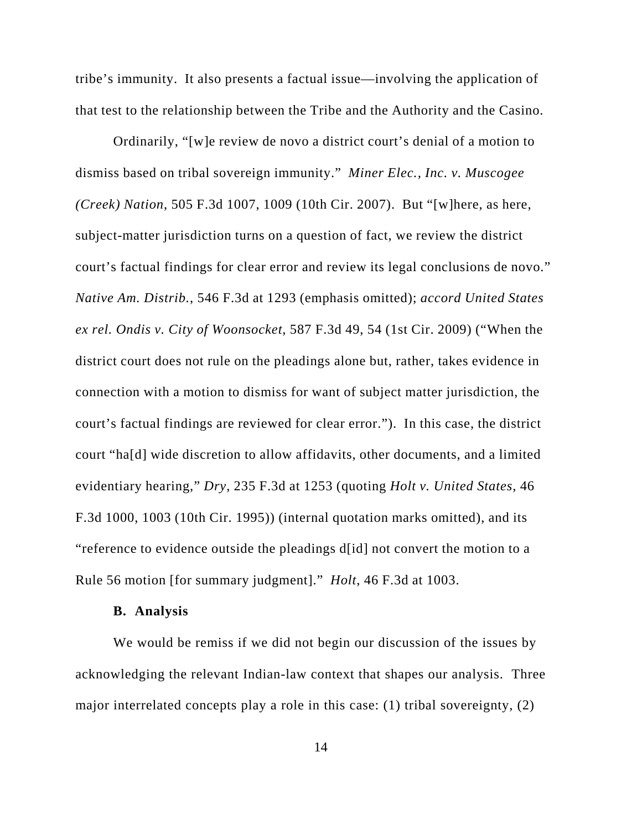tribe's immunity. It also presents a factual issue—involving the application of that test to the relationship between the Tribe and the Authority and the Casino.

Ordinarily, "[w]e review de novo a district court's denial of a motion to dismiss based on tribal sovereign immunity." *Miner Elec., Inc. v. Muscogee (Creek) Nation*, 505 F.3d 1007, 1009 (10th Cir. 2007). But "[w]here, as here, subject-matter jurisdiction turns on a question of fact, we review the district court's factual findings for clear error and review its legal conclusions de novo." *Native Am. Distrib.*, 546 F.3d at 1293 (emphasis omitted); *accord United States ex rel. Ondis v. City of Woonsocket*, 587 F.3d 49, 54 (1st Cir. 2009) ("When the district court does not rule on the pleadings alone but, rather, takes evidence in connection with a motion to dismiss for want of subject matter jurisdiction, the court's factual findings are reviewed for clear error."). In this case, the district court "ha[d] wide discretion to allow affidavits, other documents, and a limited evidentiary hearing," *Dry*, 235 F.3d at 1253 (quoting *Holt v. United States*, 46 F.3d 1000, 1003 (10th Cir. 1995)) (internal quotation marks omitted), and its "reference to evidence outside the pleadings d[id] not convert the motion to a Rule 56 motion [for summary judgment]." *Holt*, 46 F.3d at 1003.

#### **B. Analysis**

We would be remiss if we did not begin our discussion of the issues by acknowledging the relevant Indian-law context that shapes our analysis. Three major interrelated concepts play a role in this case: (1) tribal sovereignty, (2)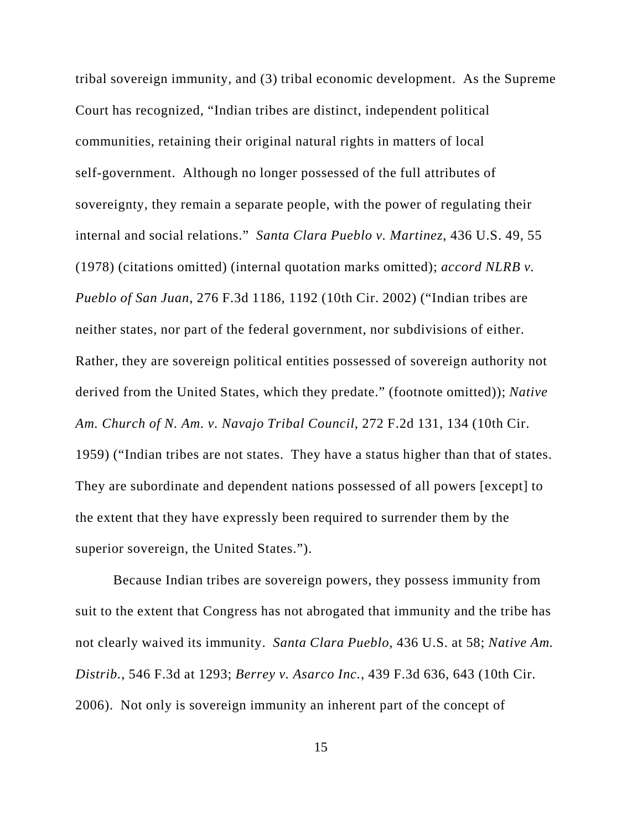tribal sovereign immunity, and (3) tribal economic development. As the Supreme Court has recognized, "Indian tribes are distinct, independent political communities, retaining their original natural rights in matters of local self-government. Although no longer possessed of the full attributes of sovereignty, they remain a separate people, with the power of regulating their internal and social relations." *Santa Clara Pueblo v. Martinez*, 436 U.S. 49, 55 (1978) (citations omitted) (internal quotation marks omitted); *accord NLRB v. Pueblo of San Juan*, 276 F.3d 1186, 1192 (10th Cir. 2002) ("Indian tribes are neither states, nor part of the federal government, nor subdivisions of either. Rather, they are sovereign political entities possessed of sovereign authority not derived from the United States, which they predate." (footnote omitted)); *Native Am. Church of N. Am. v. Navajo Tribal Council*, 272 F.2d 131, 134 (10th Cir. 1959) ("Indian tribes are not states. They have a status higher than that of states. They are subordinate and dependent nations possessed of all powers [except] to the extent that they have expressly been required to surrender them by the superior sovereign, the United States.").

Because Indian tribes are sovereign powers, they possess immunity from suit to the extent that Congress has not abrogated that immunity and the tribe has not clearly waived its immunity. *Santa Clara Pueblo*, 436 U.S. at 58; *Native Am. Distrib.*, 546 F.3d at 1293; *Berrey v. Asarco Inc.*, 439 F.3d 636, 643 (10th Cir. 2006). Not only is sovereign immunity an inherent part of the concept of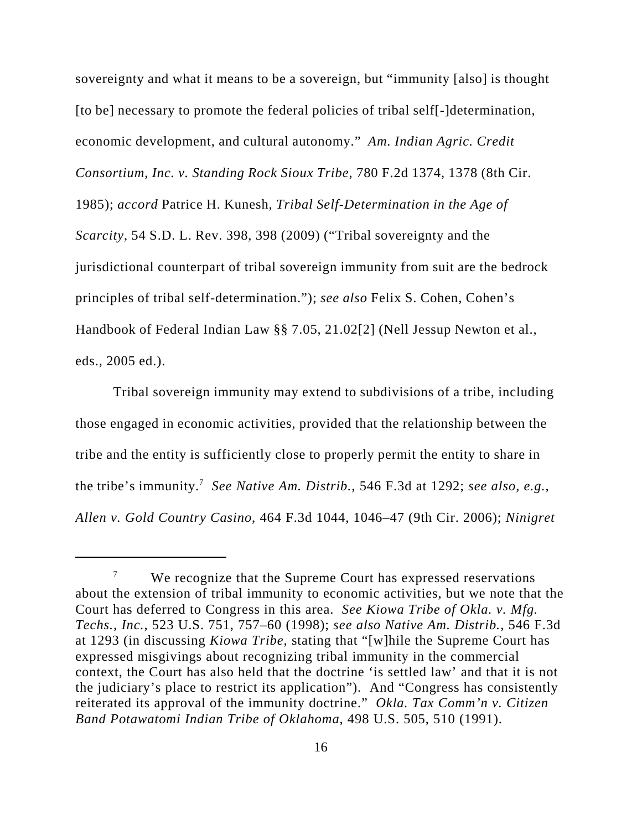sovereignty and what it means to be a sovereign, but "immunity [also] is thought [to be] necessary to promote the federal policies of tribal self[-]determination, economic development, and cultural autonomy." *Am. Indian Agric. Credit Consortium, Inc. v. Standing Rock Sioux Tribe*, 780 F.2d 1374, 1378 (8th Cir. 1985); *accord* Patrice H. Kunesh, *Tribal Self-Determination in the Age of Scarcity*, 54 S.D. L. Rev. 398, 398 (2009) ("Tribal sovereignty and the jurisdictional counterpart of tribal sovereign immunity from suit are the bedrock principles of tribal self-determination."); *see also* Felix S. Cohen, Cohen's Handbook of Federal Indian Law §§ 7.05, 21.02[2] (Nell Jessup Newton et al., eds., 2005 ed.).

Tribal sovereign immunity may extend to subdivisions of a tribe, including those engaged in economic activities, provided that the relationship between the tribe and the entity is sufficiently close to properly permit the entity to share in the tribe's immunity.<sup>7</sup> See Native Am. Distrib., 546 F.3d at 1292; see also, e.g., *Allen v. Gold Country Casino*, 464 F.3d 1044, 1046–47 (9th Cir. 2006); *Ninigret*

 $7$  We recognize that the Supreme Court has expressed reservations about the extension of tribal immunity to economic activities, but we note that the Court has deferred to Congress in this area. *See Kiowa Tribe of Okla. v. Mfg. Techs., Inc.*, 523 U.S. 751, 757–60 (1998); *see also Native Am. Distrib.*, 546 F.3d at 1293 (in discussing *Kiowa Tribe*, stating that "[w]hile the Supreme Court has expressed misgivings about recognizing tribal immunity in the commercial context, the Court has also held that the doctrine 'is settled law' and that it is not the judiciary's place to restrict its application"). And "Congress has consistently reiterated its approval of the immunity doctrine." *Okla. Tax Comm'n v. Citizen Band Potawatomi Indian Tribe of Oklahoma*, 498 U.S. 505, 510 (1991).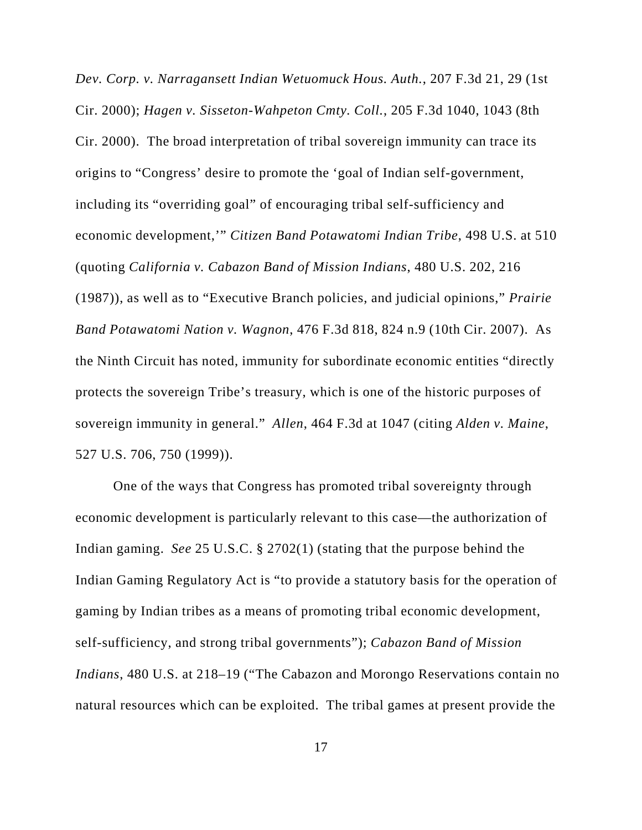*Dev. Corp. v. Narragansett Indian Wetuomuck Hous. Auth.*, 207 F.3d 21, 29 (1st Cir. 2000); *Hagen v. Sisseton-Wahpeton Cmty. Coll.*, 205 F.3d 1040, 1043 (8th Cir. 2000). The broad interpretation of tribal sovereign immunity can trace its origins to "Congress' desire to promote the 'goal of Indian self-government, including its "overriding goal" of encouraging tribal self-sufficiency and economic development,'" *Citizen Band Potawatomi Indian Tribe*, 498 U.S. at 510 (quoting *California v. Cabazon Band of Mission Indians*, 480 U.S. 202, 216 (1987)), as well as to "Executive Branch policies, and judicial opinions," *Prairie Band Potawatomi Nation v. Wagnon*, 476 F.3d 818, 824 n.9 (10th Cir. 2007). As the Ninth Circuit has noted, immunity for subordinate economic entities "directly protects the sovereign Tribe's treasury, which is one of the historic purposes of sovereign immunity in general." *Allen*, 464 F.3d at 1047 (citing *Alden v. Maine*, 527 U.S. 706, 750 (1999)).

One of the ways that Congress has promoted tribal sovereignty through economic development is particularly relevant to this case—the authorization of Indian gaming. *See* 25 U.S.C. § 2702(1) (stating that the purpose behind the Indian Gaming Regulatory Act is "to provide a statutory basis for the operation of gaming by Indian tribes as a means of promoting tribal economic development, self-sufficiency, and strong tribal governments"); *Cabazon Band of Mission Indians*, 480 U.S. at 218–19 ("The Cabazon and Morongo Reservations contain no natural resources which can be exploited. The tribal games at present provide the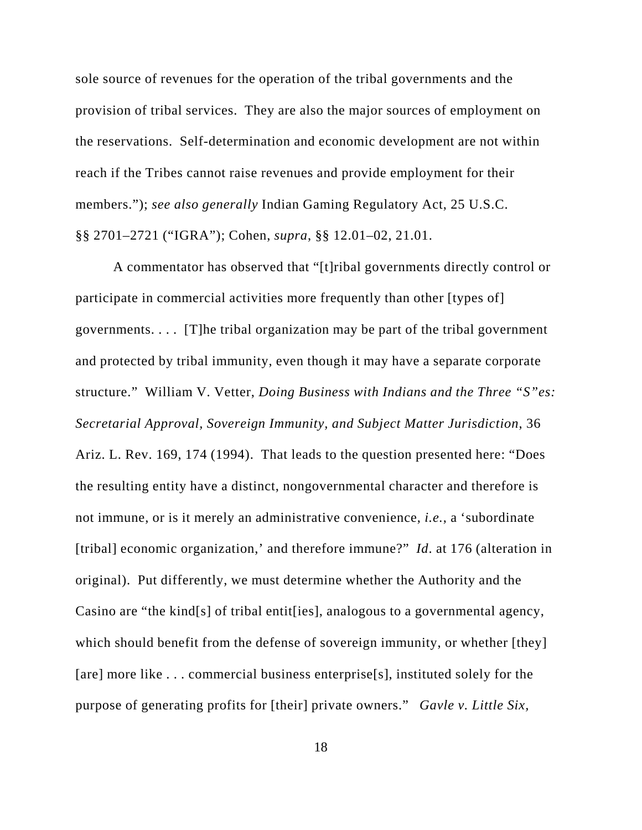sole source of revenues for the operation of the tribal governments and the provision of tribal services. They are also the major sources of employment on the reservations. Self-determination and economic development are not within reach if the Tribes cannot raise revenues and provide employment for their members."); *see also generally* Indian Gaming Regulatory Act, 25 U.S.C. §§ 2701–2721 ("IGRA"); Cohen, *supra*, §§ 12.01–02, 21.01.

A commentator has observed that "[t]ribal governments directly control or participate in commercial activities more frequently than other [types of] governments. . . . [T]he tribal organization may be part of the tribal government and protected by tribal immunity, even though it may have a separate corporate structure." William V. Vetter, *Doing Business with Indians and the Three "S"es: Secretarial Approval, Sovereign Immunity, and Subject Matter Jurisdiction*, 36 Ariz. L. Rev. 169, 174 (1994). That leads to the question presented here: "Does the resulting entity have a distinct, nongovernmental character and therefore is not immune, or is it merely an administrative convenience, *i.e.*, a 'subordinate [tribal] economic organization,' and therefore immune?" *Id*. at 176 (alteration in original). Put differently, we must determine whether the Authority and the Casino are "the kind[s] of tribal entit[ies], analogous to a governmental agency, which should benefit from the defense of sovereign immunity, or whether [they] [are] more like ... commercial business enterprise[s], instituted solely for the purpose of generating profits for [their] private owners." *Gavle v. Little Six,*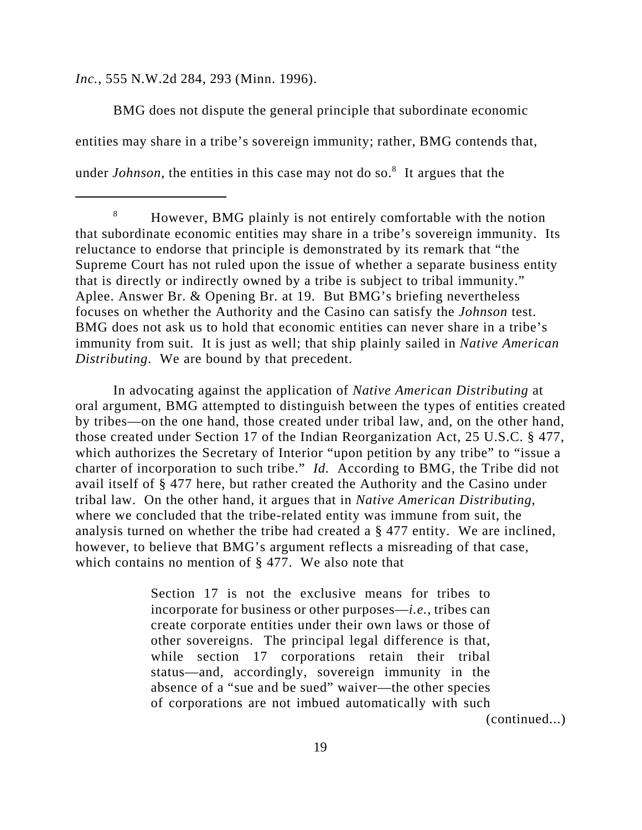*Inc.*, 555 N.W.2d 284, 293 (Minn. 1996).

BMG does not dispute the general principle that subordinate economic entities may share in a tribe's sovereign immunity; rather, BMG contends that, under *Johnson*, the entities in this case may not do so.<sup>8</sup> It argues that the

In advocating against the application of *Native American Distributing* at oral argument, BMG attempted to distinguish between the types of entities created by tribes—on the one hand, those created under tribal law, and, on the other hand, those created under Section 17 of the Indian Reorganization Act, 25 U.S.C. § 477, which authorizes the Secretary of Interior "upon petition by any tribe" to "issue a charter of incorporation to such tribe." *Id.* According to BMG, the Tribe did not avail itself of § 477 here, but rather created the Authority and the Casino under tribal law. On the other hand, it argues that in *Native American Distributing*, where we concluded that the tribe-related entity was immune from suit, the analysis turned on whether the tribe had created a § 477 entity. We are inclined, however, to believe that BMG's argument reflects a misreading of that case, which contains no mention of § 477. We also note that

> Section 17 is not the exclusive means for tribes to incorporate for business or other purposes—*i.e.*, tribes can create corporate entities under their own laws or those of other sovereigns. The principal legal difference is that, while section 17 corporations retain their tribal status—and, accordingly, sovereign immunity in the absence of a "sue and be sued" waiver—the other species of corporations are not imbued automatically with such

(continued...)

<sup>8</sup> However, BMG plainly is not entirely comfortable with the notion that subordinate economic entities may share in a tribe's sovereign immunity. Its reluctance to endorse that principle is demonstrated by its remark that "the Supreme Court has not ruled upon the issue of whether a separate business entity that is directly or indirectly owned by a tribe is subject to tribal immunity." Aplee. Answer Br. & Opening Br. at 19. But BMG's briefing nevertheless focuses on whether the Authority and the Casino can satisfy the *Johnson* test. BMG does not ask us to hold that economic entities can never share in a tribe's immunity from suit. It is just as well; that ship plainly sailed in *Native American Distributing*. We are bound by that precedent.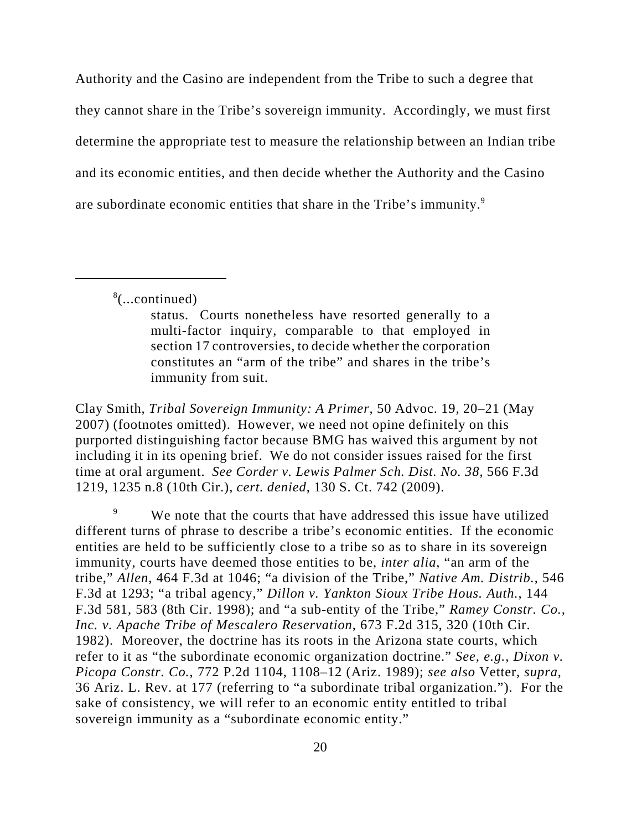Authority and the Casino are independent from the Tribe to such a degree that they cannot share in the Tribe's sovereign immunity. Accordingly, we must first determine the appropriate test to measure the relationship between an Indian tribe and its economic entities, and then decide whether the Authority and the Casino are subordinate economic entities that share in the Tribe's immunity.9

8 (...continued)

status. Courts nonetheless have resorted generally to a multi-factor inquiry, comparable to that employed in section 17 controversies, to decide whether the corporation constitutes an "arm of the tribe" and shares in the tribe's immunity from suit.

Clay Smith, *Tribal Sovereign Immunity: A Primer*, 50 Advoc. 19, 20–21 (May 2007) (footnotes omitted). However, we need not opine definitely on this purported distinguishing factor because BMG has waived this argument by not including it in its opening brief. We do not consider issues raised for the first time at oral argument. *See Corder v. Lewis Palmer Sch. Dist. No. 38*, 566 F.3d 1219, 1235 n.8 (10th Cir.), *cert. denied*, 130 S. Ct. 742 (2009).

<sup>9</sup> We note that the courts that have addressed this issue have utilized different turns of phrase to describe a tribe's economic entities. If the economic entities are held to be sufficiently close to a tribe so as to share in its sovereign immunity, courts have deemed those entities to be, *inter alia*, "an arm of the tribe," *Allen*, 464 F.3d at 1046; "a division of the Tribe," *Native Am. Distrib.*, 546 F.3d at 1293; "a tribal agency," *Dillon v. Yankton Sioux Tribe Hous. Auth.*, 144 F.3d 581, 583 (8th Cir. 1998); and "a sub-entity of the Tribe," *Ramey Constr. Co., Inc. v. Apache Tribe of Mescalero Reservation*, 673 F.2d 315, 320 (10th Cir. 1982). Moreover, the doctrine has its roots in the Arizona state courts, which refer to it as "the subordinate economic organization doctrine." *See, e.g.*, *Dixon v. Picopa Constr. Co.*, 772 P.2d 1104, 1108–12 (Ariz. 1989); *see also* Vetter, *supra*, 36 Ariz. L. Rev. at 177 (referring to "a subordinate tribal organization."). For the sake of consistency, we will refer to an economic entity entitled to tribal sovereign immunity as a "subordinate economic entity."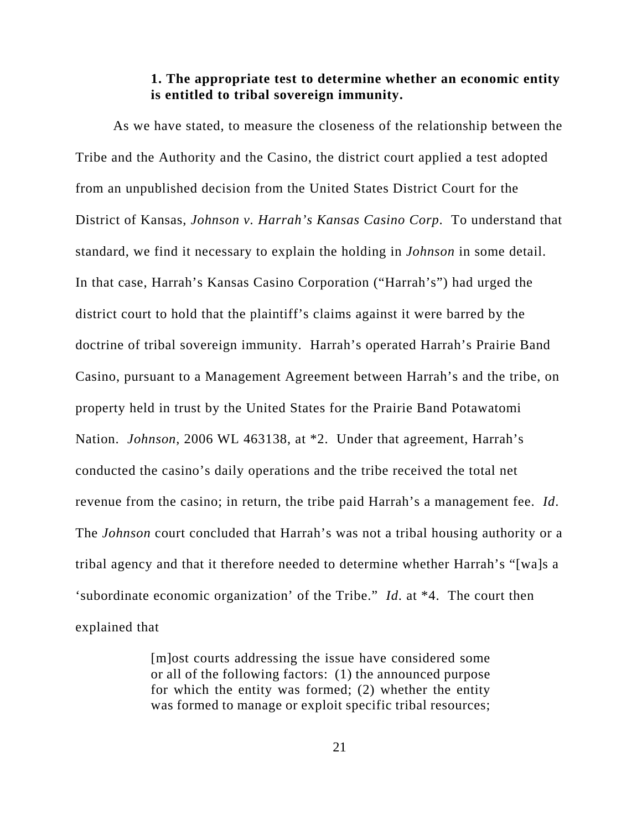## **1. The appropriate test to determine whether an economic entity is entitled to tribal sovereign immunity.**

As we have stated, to measure the closeness of the relationship between the Tribe and the Authority and the Casino, the district court applied a test adopted from an unpublished decision from the United States District Court for the District of Kansas, *Johnson v. Harrah's Kansas Casino Corp*. To understand that standard, we find it necessary to explain the holding in *Johnson* in some detail. In that case, Harrah's Kansas Casino Corporation ("Harrah's") had urged the district court to hold that the plaintiff's claims against it were barred by the doctrine of tribal sovereign immunity. Harrah's operated Harrah's Prairie Band Casino, pursuant to a Management Agreement between Harrah's and the tribe, on property held in trust by the United States for the Prairie Band Potawatomi Nation. *Johnson*, 2006 WL 463138, at \*2. Under that agreement, Harrah's conducted the casino's daily operations and the tribe received the total net revenue from the casino; in return, the tribe paid Harrah's a management fee. *Id*. The *Johnson* court concluded that Harrah's was not a tribal housing authority or a tribal agency and that it therefore needed to determine whether Harrah's "[wa]s a 'subordinate economic organization' of the Tribe." *Id*. at \*4. The court then explained that

> [m]ost courts addressing the issue have considered some or all of the following factors: (1) the announced purpose for which the entity was formed; (2) whether the entity was formed to manage or exploit specific tribal resources;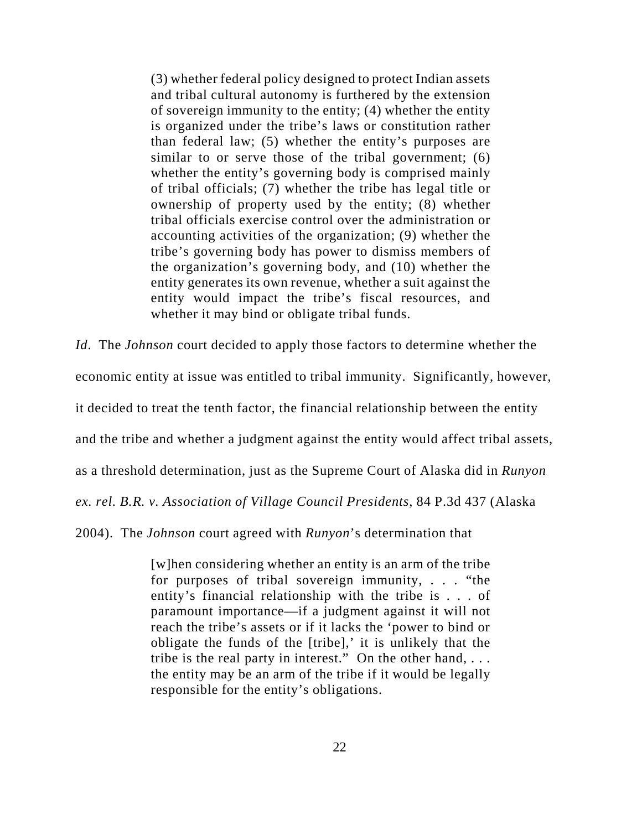(3) whether federal policy designed to protect Indian assets and tribal cultural autonomy is furthered by the extension of sovereign immunity to the entity; (4) whether the entity is organized under the tribe's laws or constitution rather than federal law; (5) whether the entity's purposes are similar to or serve those of the tribal government; (6) whether the entity's governing body is comprised mainly of tribal officials; (7) whether the tribe has legal title or ownership of property used by the entity; (8) whether tribal officials exercise control over the administration or accounting activities of the organization; (9) whether the tribe's governing body has power to dismiss members of the organization's governing body, and (10) whether the entity generates its own revenue, whether a suit against the entity would impact the tribe's fiscal resources, and whether it may bind or obligate tribal funds.

*Id*. The *Johnson* court decided to apply those factors to determine whether the economic entity at issue was entitled to tribal immunity. Significantly, however, it decided to treat the tenth factor, the financial relationship between the entity and the tribe and whether a judgment against the entity would affect tribal assets, as a threshold determination, just as the Supreme Court of Alaska did in *Runyon ex. rel. B.R. v. Association of Village Council Presidents*, 84 P.3d 437 (Alaska

2004). The *Johnson* court agreed with *Runyon*'s determination that

[w]hen considering whether an entity is an arm of the tribe for purposes of tribal sovereign immunity, . . . "the entity's financial relationship with the tribe is . . . of paramount importance—if a judgment against it will not reach the tribe's assets or if it lacks the 'power to bind or obligate the funds of the [tribe],' it is unlikely that the tribe is the real party in interest." On the other hand, ... the entity may be an arm of the tribe if it would be legally responsible for the entity's obligations.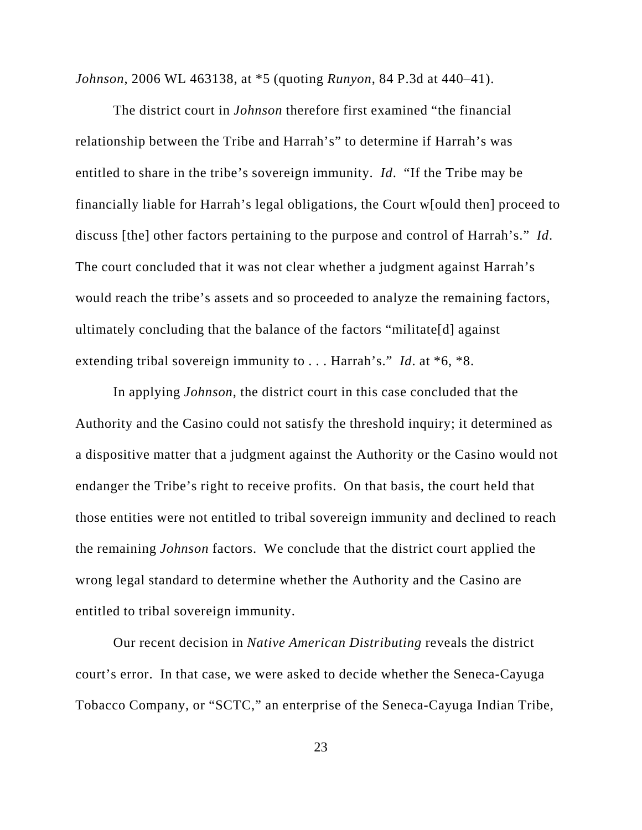*Johnson*, 2006 WL 463138, at \*5 (quoting *Runyon*, 84 P.3d at 440–41).

The district court in *Johnson* therefore first examined "the financial relationship between the Tribe and Harrah's" to determine if Harrah's was entitled to share in the tribe's sovereign immunity. *Id*. "If the Tribe may be financially liable for Harrah's legal obligations, the Court w[ould then] proceed to discuss [the] other factors pertaining to the purpose and control of Harrah's." *Id*. The court concluded that it was not clear whether a judgment against Harrah's would reach the tribe's assets and so proceeded to analyze the remaining factors, ultimately concluding that the balance of the factors "militate[d] against extending tribal sovereign immunity to . . . Harrah's." *Id*. at \*6, \*8.

In applying *Johnson*, the district court in this case concluded that the Authority and the Casino could not satisfy the threshold inquiry; it determined as a dispositive matter that a judgment against the Authority or the Casino would not endanger the Tribe's right to receive profits. On that basis, the court held that those entities were not entitled to tribal sovereign immunity and declined to reach the remaining *Johnson* factors. We conclude that the district court applied the wrong legal standard to determine whether the Authority and the Casino are entitled to tribal sovereign immunity.

Our recent decision in *Native American Distributing* reveals the district court's error. In that case, we were asked to decide whether the Seneca-Cayuga Tobacco Company, or "SCTC," an enterprise of the Seneca-Cayuga Indian Tribe,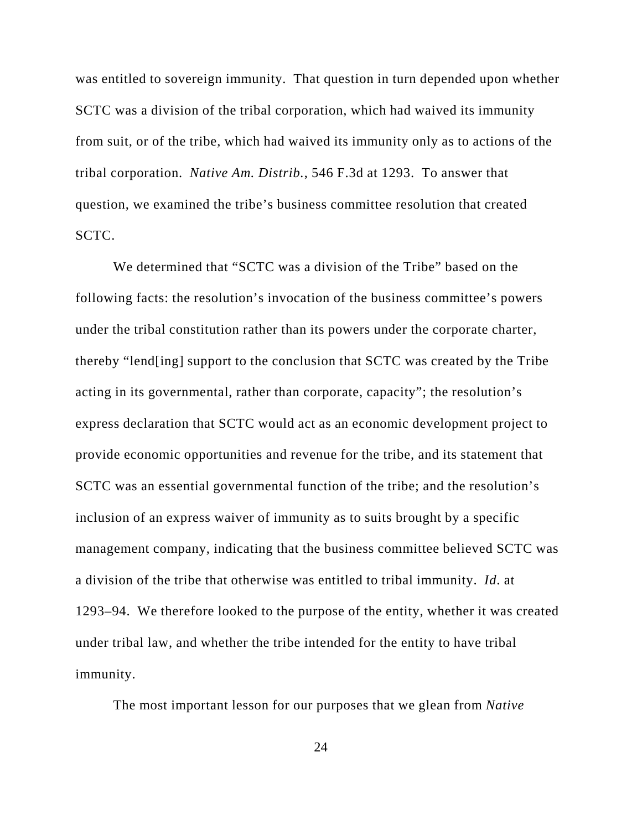was entitled to sovereign immunity. That question in turn depended upon whether SCTC was a division of the tribal corporation, which had waived its immunity from suit, or of the tribe, which had waived its immunity only as to actions of the tribal corporation. *Native Am. Distrib.*, 546 F.3d at 1293. To answer that question, we examined the tribe's business committee resolution that created SCTC.

We determined that "SCTC was a division of the Tribe" based on the following facts: the resolution's invocation of the business committee's powers under the tribal constitution rather than its powers under the corporate charter, thereby "lend[ing] support to the conclusion that SCTC was created by the Tribe acting in its governmental, rather than corporate, capacity"; the resolution's express declaration that SCTC would act as an economic development project to provide economic opportunities and revenue for the tribe, and its statement that SCTC was an essential governmental function of the tribe; and the resolution's inclusion of an express waiver of immunity as to suits brought by a specific management company, indicating that the business committee believed SCTC was a division of the tribe that otherwise was entitled to tribal immunity. *Id*. at 1293–94. We therefore looked to the purpose of the entity, whether it was created under tribal law, and whether the tribe intended for the entity to have tribal immunity.

The most important lesson for our purposes that we glean from *Native*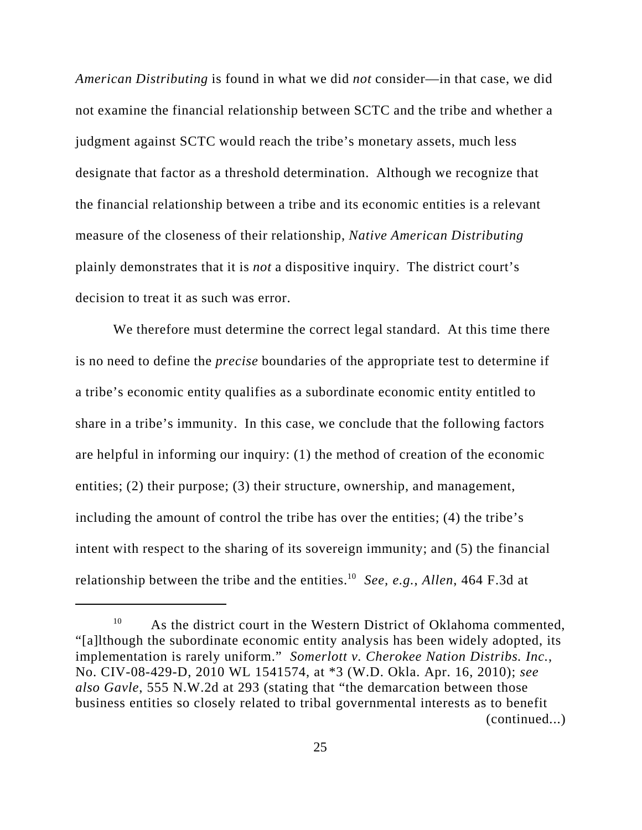*American Distributing* is found in what we did *not* consider—in that case, we did not examine the financial relationship between SCTC and the tribe and whether a judgment against SCTC would reach the tribe's monetary assets, much less designate that factor as a threshold determination. Although we recognize that the financial relationship between a tribe and its economic entities is a relevant measure of the closeness of their relationship, *Native American Distributing* plainly demonstrates that it is *not* a dispositive inquiry. The district court's decision to treat it as such was error.

We therefore must determine the correct legal standard. At this time there is no need to define the *precise* boundaries of the appropriate test to determine if a tribe's economic entity qualifies as a subordinate economic entity entitled to share in a tribe's immunity. In this case, we conclude that the following factors are helpful in informing our inquiry: (1) the method of creation of the economic entities; (2) their purpose; (3) their structure, ownership, and management, including the amount of control the tribe has over the entities; (4) the tribe's intent with respect to the sharing of its sovereign immunity; and (5) the financial relationship between the tribe and the entities.10 *See, e.g.*, *Allen*, 464 F.3d at

 $10$  As the district court in the Western District of Oklahoma commented, "[a]lthough the subordinate economic entity analysis has been widely adopted, its implementation is rarely uniform." *Somerlott v. Cherokee Nation Distribs. Inc.*, No. CIV-08-429-D, 2010 WL 1541574, at \*3 (W.D. Okla. Apr. 16, 2010); *see also Gavle*, 555 N.W.2d at 293 (stating that "the demarcation between those business entities so closely related to tribal governmental interests as to benefit (continued...)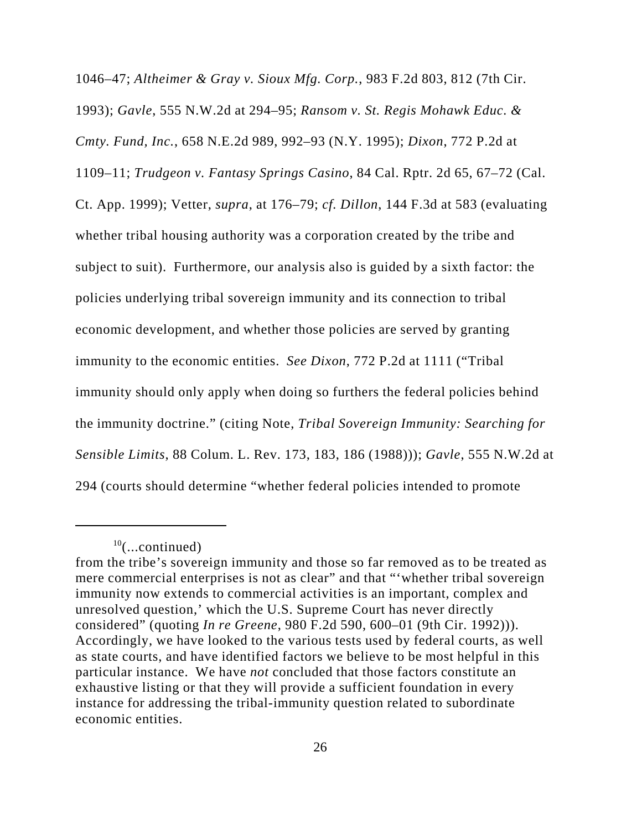1046–47; *Altheimer & Gray v. Sioux Mfg. Corp.*, 983 F.2d 803, 812 (7th Cir. 1993); *Gavle*, 555 N.W.2d at 294–95; *Ransom v. St. Regis Mohawk Educ. & Cmty. Fund, Inc.*, 658 N.E.2d 989, 992–93 (N.Y. 1995); *Dixon*, 772 P.2d at 1109–11; *Trudgeon v. Fantasy Springs Casino*, 84 Cal. Rptr. 2d 65, 67–72 (Cal. Ct. App. 1999); Vetter, *supra*, at 176–79; *cf. Dillon*, 144 F.3d at 583 (evaluating whether tribal housing authority was a corporation created by the tribe and subject to suit). Furthermore, our analysis also is guided by a sixth factor: the policies underlying tribal sovereign immunity and its connection to tribal economic development, and whether those policies are served by granting immunity to the economic entities. *See Dixon*, 772 P.2d at 1111 ("Tribal immunity should only apply when doing so furthers the federal policies behind the immunity doctrine." (citing Note, *Tribal Sovereign Immunity: Searching for Sensible Limits*, 88 Colum. L. Rev. 173, 183, 186 (1988))); *Gavle*, 555 N.W.2d at 294 (courts should determine "whether federal policies intended to promote

 $10$ (...continued)

from the tribe's sovereign immunity and those so far removed as to be treated as mere commercial enterprises is not as clear" and that "'whether tribal sovereign immunity now extends to commercial activities is an important, complex and unresolved question,' which the U.S. Supreme Court has never directly considered" (quoting *In re Greene*, 980 F.2d 590, 600–01 (9th Cir. 1992))). Accordingly, we have looked to the various tests used by federal courts, as well as state courts, and have identified factors we believe to be most helpful in this particular instance. We have *not* concluded that those factors constitute an exhaustive listing or that they will provide a sufficient foundation in every instance for addressing the tribal-immunity question related to subordinate economic entities.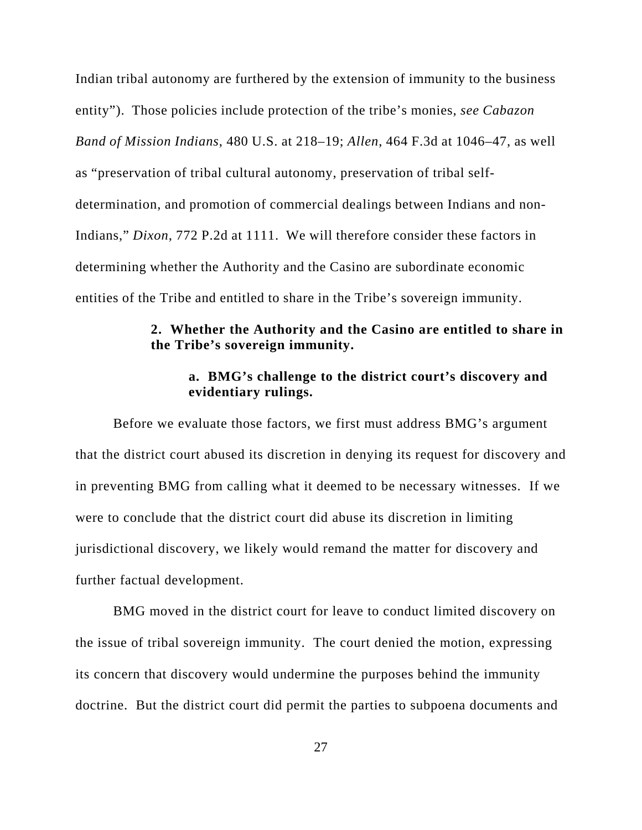Indian tribal autonomy are furthered by the extension of immunity to the business entity"). Those policies include protection of the tribe's monies, *see Cabazon Band of Mission Indians*, 480 U.S. at 218–19; *Allen*, 464 F.3d at 1046–47, as well as "preservation of tribal cultural autonomy, preservation of tribal selfdetermination, and promotion of commercial dealings between Indians and non-Indians," *Dixon*, 772 P.2d at 1111. We will therefore consider these factors in determining whether the Authority and the Casino are subordinate economic entities of the Tribe and entitled to share in the Tribe's sovereign immunity.

# **2. Whether the Authority and the Casino are entitled to share in the Tribe's sovereign immunity.**

## **a. BMG's challenge to the district court's discovery and evidentiary rulings.**

Before we evaluate those factors, we first must address BMG's argument that the district court abused its discretion in denying its request for discovery and in preventing BMG from calling what it deemed to be necessary witnesses. If we were to conclude that the district court did abuse its discretion in limiting jurisdictional discovery, we likely would remand the matter for discovery and further factual development.

BMG moved in the district court for leave to conduct limited discovery on the issue of tribal sovereign immunity. The court denied the motion, expressing its concern that discovery would undermine the purposes behind the immunity doctrine. But the district court did permit the parties to subpoena documents and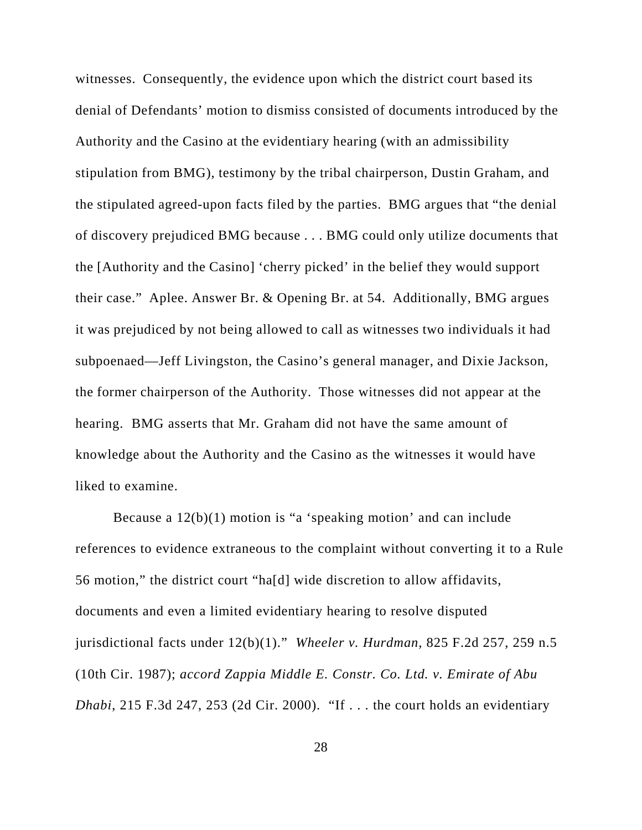witnesses. Consequently, the evidence upon which the district court based its denial of Defendants' motion to dismiss consisted of documents introduced by the Authority and the Casino at the evidentiary hearing (with an admissibility stipulation from BMG), testimony by the tribal chairperson, Dustin Graham, and the stipulated agreed-upon facts filed by the parties. BMG argues that "the denial of discovery prejudiced BMG because . . . BMG could only utilize documents that the [Authority and the Casino] 'cherry picked' in the belief they would support their case." Aplee. Answer Br. & Opening Br. at 54. Additionally, BMG argues it was prejudiced by not being allowed to call as witnesses two individuals it had subpoenaed—Jeff Livingston, the Casino's general manager, and Dixie Jackson, the former chairperson of the Authority. Those witnesses did not appear at the hearing. BMG asserts that Mr. Graham did not have the same amount of knowledge about the Authority and the Casino as the witnesses it would have liked to examine.

Because a 12(b)(1) motion is "a 'speaking motion' and can include references to evidence extraneous to the complaint without converting it to a Rule 56 motion," the district court "ha[d] wide discretion to allow affidavits, documents and even a limited evidentiary hearing to resolve disputed jurisdictional facts under 12(b)(1)." *Wheeler v. Hurdman*, 825 F.2d 257, 259 n.5 (10th Cir. 1987); *accord Zappia Middle E. Constr. Co. Ltd. v. Emirate of Abu Dhabi*, 215 F.3d 247, 253 (2d Cir. 2000). "If . . . the court holds an evidentiary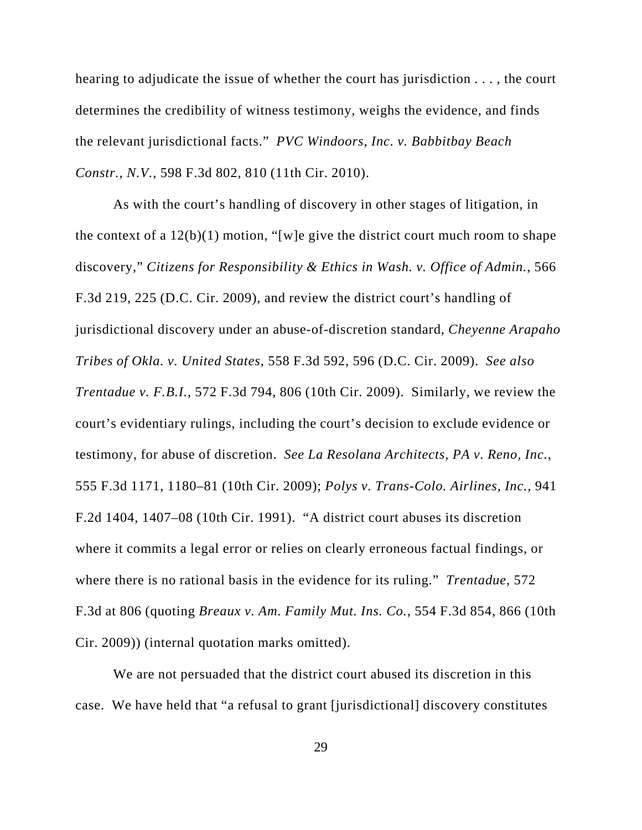hearing to adjudicate the issue of whether the court has jurisdiction . . . , the court determines the credibility of witness testimony, weighs the evidence, and finds the relevant jurisdictional facts." *PVC Windoors, Inc. v. Babbitbay Beach Constr., N.V.*, 598 F.3d 802, 810 (11th Cir. 2010).

As with the court's handling of discovery in other stages of litigation, in the context of a  $12(b)(1)$  motion, "[w]e give the district court much room to shape discovery," *Citizens for Responsibility & Ethics in Wash. v. Office of Admin.*, 566 F.3d 219, 225 (D.C. Cir. 2009), and review the district court's handling of jurisdictional discovery under an abuse-of-discretion standard, *Cheyenne Arapaho Tribes of Okla. v. United States*, 558 F.3d 592, 596 (D.C. Cir. 2009). *See also Trentadue v. F.B.I.*, 572 F.3d 794, 806 (10th Cir. 2009). Similarly, we review the court's evidentiary rulings, including the court's decision to exclude evidence or testimony, for abuse of discretion. *See La Resolana Architects, PA v. Reno, Inc.*, 555 F.3d 1171, 1180–81 (10th Cir. 2009); *Polys v. Trans-Colo. Airlines, Inc.*, 941 F.2d 1404, 1407–08 (10th Cir. 1991). "A district court abuses its discretion where it commits a legal error or relies on clearly erroneous factual findings, or where there is no rational basis in the evidence for its ruling." *Trentadue*, 572 F.3d at 806 (quoting *Breaux v. Am. Family Mut. Ins. Co.*, 554 F.3d 854, 866 (10th Cir. 2009)) (internal quotation marks omitted).

We are not persuaded that the district court abused its discretion in this case. We have held that "a refusal to grant [jurisdictional] discovery constitutes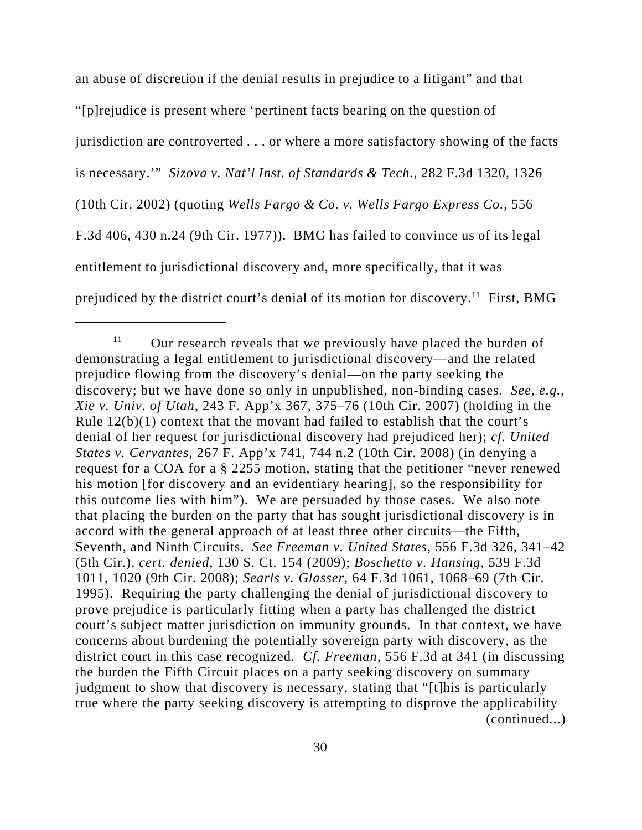an abuse of discretion if the denial results in prejudice to a litigant" and that "[p]rejudice is present where 'pertinent facts bearing on the question of jurisdiction are controverted . . . or where a more satisfactory showing of the facts is necessary.'" *Sizova v. Nat'l Inst. of Standards & Tech.*, 282 F.3d 1320, 1326 (10th Cir. 2002) (quoting *Wells Fargo & Co. v. Wells Fargo Express Co.*, 556 F.3d 406, 430 n.24 (9th Cir. 1977)). BMG has failed to convince us of its legal entitlement to jurisdictional discovery and, more specifically, that it was prejudiced by the district court's denial of its motion for discovery.<sup>11</sup> First, BMG

 $11$  Our research reveals that we previously have placed the burden of demonstrating a legal entitlement to jurisdictional discovery—and the related prejudice flowing from the discovery's denial—on the party seeking the discovery; but we have done so only in unpublished, non-binding cases. *See, e.g.*, *Xie v. Univ. of Utah*, 243 F. App'x 367, 375–76 (10th Cir. 2007) (holding in the Rule 12(b)(1) context that the movant had failed to establish that the court's denial of her request for jurisdictional discovery had prejudiced her); *cf. United States v. Cervantes*, 267 F. App'x 741, 744 n.2 (10th Cir. 2008) (in denying a request for a COA for a § 2255 motion, stating that the petitioner "never renewed his motion [for discovery and an evidentiary hearing], so the responsibility for this outcome lies with him"). We are persuaded by those cases. We also note that placing the burden on the party that has sought jurisdictional discovery is in accord with the general approach of at least three other circuits—the Fifth, Seventh, and Ninth Circuits. *See Freeman v. United States*, 556 F.3d 326, 341–42 (5th Cir.), *cert. denied*, 130 S. Ct. 154 (2009); *Boschetto v. Hansing*, 539 F.3d 1011, 1020 (9th Cir. 2008); *Searls v. Glasser*, 64 F.3d 1061, 1068–69 (7th Cir. 1995). Requiring the party challenging the denial of jurisdictional discovery to prove prejudice is particularly fitting when a party has challenged the district court's subject matter jurisdiction on immunity grounds. In that context, we have concerns about burdening the potentially sovereign party with discovery, as the district court in this case recognized. *Cf. Freeman*, 556 F.3d at 341 (in discussing the burden the Fifth Circuit places on a party seeking discovery on summary judgment to show that discovery is necessary, stating that "[t]his is particularly true where the party seeking discovery is attempting to disprove the applicability (continued...)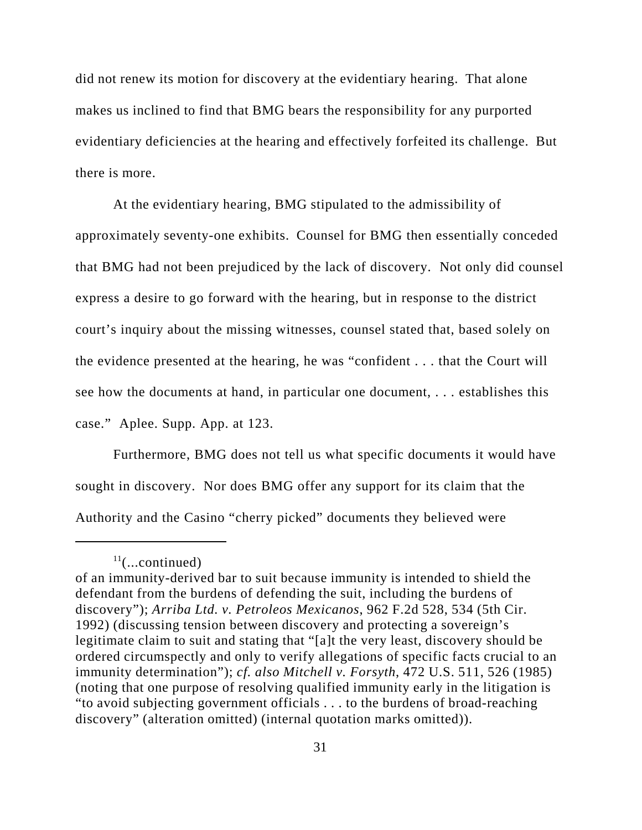did not renew its motion for discovery at the evidentiary hearing. That alone makes us inclined to find that BMG bears the responsibility for any purported evidentiary deficiencies at the hearing and effectively forfeited its challenge. But there is more.

At the evidentiary hearing, BMG stipulated to the admissibility of approximately seventy-one exhibits. Counsel for BMG then essentially conceded that BMG had not been prejudiced by the lack of discovery. Not only did counsel express a desire to go forward with the hearing, but in response to the district court's inquiry about the missing witnesses, counsel stated that, based solely on the evidence presented at the hearing, he was "confident . . . that the Court will see how the documents at hand, in particular one document, . . . establishes this case." Aplee. Supp. App. at 123.

Furthermore, BMG does not tell us what specific documents it would have sought in discovery. Nor does BMG offer any support for its claim that the Authority and the Casino "cherry picked" documents they believed were

 $11$ (...continued)

of an immunity-derived bar to suit because immunity is intended to shield the defendant from the burdens of defending the suit, including the burdens of discovery"); *Arriba Ltd. v. Petroleos Mexicanos*, 962 F.2d 528, 534 (5th Cir. 1992) (discussing tension between discovery and protecting a sovereign's legitimate claim to suit and stating that "[a]t the very least, discovery should be ordered circumspectly and only to verify allegations of specific facts crucial to an immunity determination"); *cf. also Mitchell v. Forsyth*, 472 U.S. 511, 526 (1985) (noting that one purpose of resolving qualified immunity early in the litigation is "to avoid subjecting government officials . . . to the burdens of broad-reaching discovery" (alteration omitted) (internal quotation marks omitted)).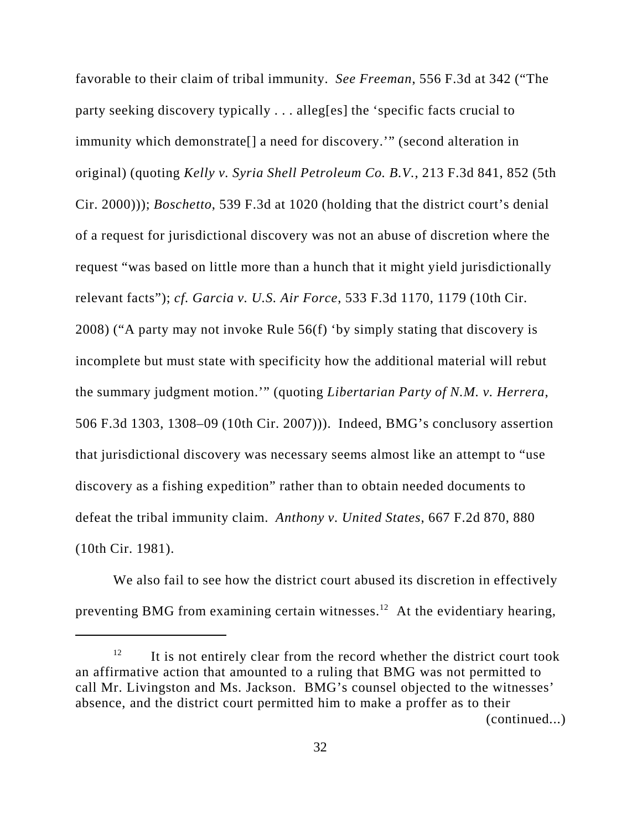favorable to their claim of tribal immunity. *See Freeman*, 556 F.3d at 342 ("The party seeking discovery typically . . . alleg[es] the 'specific facts crucial to immunity which demonstrate[] a need for discovery.'" (second alteration in original) (quoting *Kelly v. Syria Shell Petroleum Co. B.V.*, 213 F.3d 841, 852 (5th Cir. 2000))); *Boschetto*, 539 F.3d at 1020 (holding that the district court's denial of a request for jurisdictional discovery was not an abuse of discretion where the request "was based on little more than a hunch that it might yield jurisdictionally relevant facts"); *cf. Garcia v. U.S. Air Force*, 533 F.3d 1170, 1179 (10th Cir. 2008) ("A party may not invoke Rule 56(f) 'by simply stating that discovery is incomplete but must state with specificity how the additional material will rebut the summary judgment motion.'" (quoting *Libertarian Party of N.M. v. Herrera*, 506 F.3d 1303, 1308–09 (10th Cir. 2007))). Indeed, BMG's conclusory assertion that jurisdictional discovery was necessary seems almost like an attempt to "use discovery as a fishing expedition" rather than to obtain needed documents to defeat the tribal immunity claim. *Anthony v. United States*, 667 F.2d 870, 880 (10th Cir. 1981).

We also fail to see how the district court abused its discretion in effectively preventing BMG from examining certain witnesses.<sup>12</sup> At the evidentiary hearing,

 $12$  It is not entirely clear from the record whether the district court took an affirmative action that amounted to a ruling that BMG was not permitted to call Mr. Livingston and Ms. Jackson. BMG's counsel objected to the witnesses' absence, and the district court permitted him to make a proffer as to their (continued...)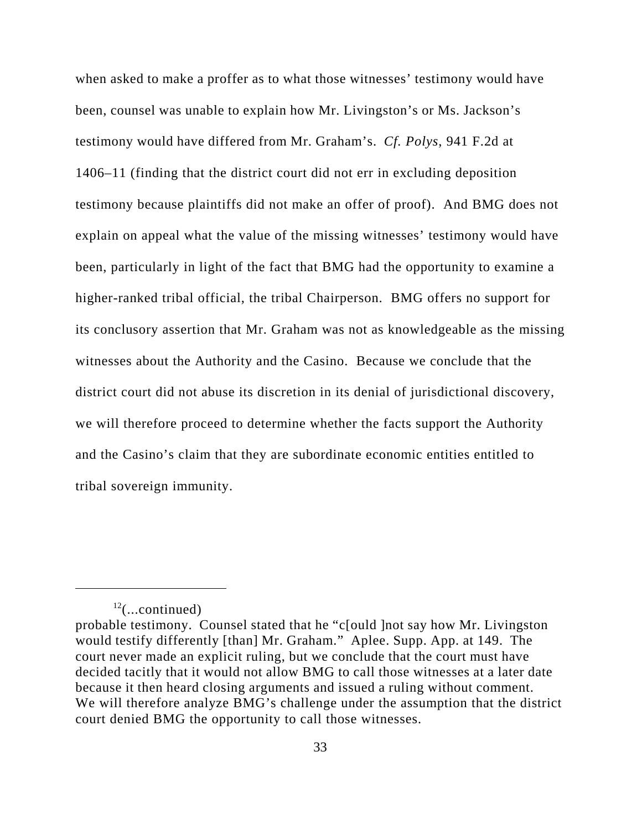when asked to make a proffer as to what those witnesses' testimony would have been, counsel was unable to explain how Mr. Livingston's or Ms. Jackson's testimony would have differed from Mr. Graham's. *Cf. Polys*, 941 F.2d at 1406–11 (finding that the district court did not err in excluding deposition testimony because plaintiffs did not make an offer of proof). And BMG does not explain on appeal what the value of the missing witnesses' testimony would have been, particularly in light of the fact that BMG had the opportunity to examine a higher-ranked tribal official, the tribal Chairperson. BMG offers no support for its conclusory assertion that Mr. Graham was not as knowledgeable as the missing witnesses about the Authority and the Casino. Because we conclude that the district court did not abuse its discretion in its denial of jurisdictional discovery, we will therefore proceed to determine whether the facts support the Authority and the Casino's claim that they are subordinate economic entities entitled to tribal sovereign immunity.

 $12$ (...continued)

probable testimony. Counsel stated that he "c[ould ]not say how Mr. Livingston would testify differently [than] Mr. Graham." Aplee. Supp. App. at 149. The court never made an explicit ruling, but we conclude that the court must have decided tacitly that it would not allow BMG to call those witnesses at a later date because it then heard closing arguments and issued a ruling without comment. We will therefore analyze BMG's challenge under the assumption that the district court denied BMG the opportunity to call those witnesses.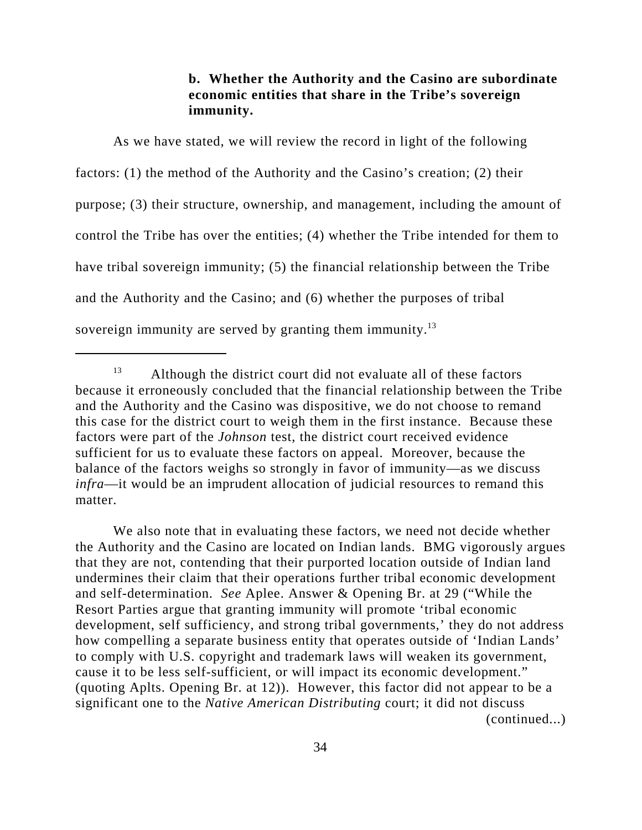# **b. Whether the Authority and the Casino are subordinate economic entities that share in the Tribe's sovereign immunity.**

As we have stated, we will review the record in light of the following factors: (1) the method of the Authority and the Casino's creation; (2) their purpose; (3) their structure, ownership, and management, including the amount of control the Tribe has over the entities; (4) whether the Tribe intended for them to have tribal sovereign immunity; (5) the financial relationship between the Tribe and the Authority and the Casino; and (6) whether the purposes of tribal sovereign immunity are served by granting them immunity.<sup>13</sup>

We also note that in evaluating these factors, we need not decide whether the Authority and the Casino are located on Indian lands. BMG vigorously argues that they are not, contending that their purported location outside of Indian land undermines their claim that their operations further tribal economic development and self-determination. *See* Aplee. Answer & Opening Br. at 29 ("While the Resort Parties argue that granting immunity will promote 'tribal economic development, self sufficiency, and strong tribal governments,' they do not address how compelling a separate business entity that operates outside of 'Indian Lands' to comply with U.S. copyright and trademark laws will weaken its government, cause it to be less self-sufficient, or will impact its economic development." (quoting Aplts. Opening Br. at 12)). However, this factor did not appear to be a significant one to the *Native American Distributing* court; it did not discuss (continued...)

 $13$  Although the district court did not evaluate all of these factors because it erroneously concluded that the financial relationship between the Tribe and the Authority and the Casino was dispositive, we do not choose to remand this case for the district court to weigh them in the first instance. Because these factors were part of the *Johnson* test, the district court received evidence sufficient for us to evaluate these factors on appeal. Moreover, because the balance of the factors weighs so strongly in favor of immunity—as we discuss *infra*—it would be an imprudent allocation of judicial resources to remand this matter.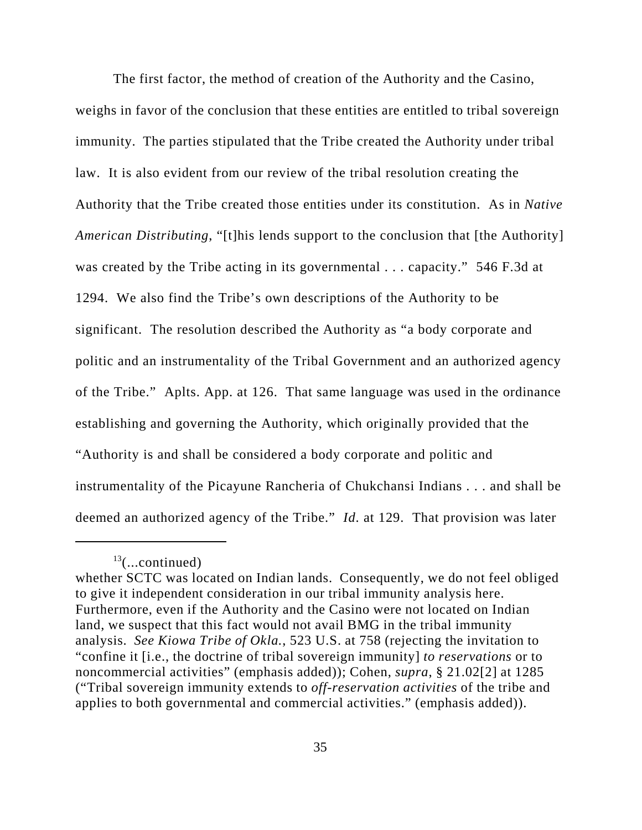The first factor, the method of creation of the Authority and the Casino, weighs in favor of the conclusion that these entities are entitled to tribal sovereign immunity. The parties stipulated that the Tribe created the Authority under tribal law.It is also evident from our review of the tribal resolution creating the Authority that the Tribe created those entities under its constitution. As in *Native American Distributing*, "[t]his lends support to the conclusion that [the Authority] was created by the Tribe acting in its governmental . . . capacity." 546 F.3d at 1294. We also find the Tribe's own descriptions of the Authority to be significant. The resolution described the Authority as "a body corporate and politic and an instrumentality of the Tribal Government and an authorized agency of the Tribe." Aplts. App. at 126. That same language was used in the ordinance establishing and governing the Authority, which originally provided that the "Authority is and shall be considered a body corporate and politic and instrumentality of the Picayune Rancheria of Chukchansi Indians . . . and shall be deemed an authorized agency of the Tribe." *Id*. at 129. That provision was later

 $13$ (...continued)

whether SCTC was located on Indian lands. Consequently, we do not feel obliged to give it independent consideration in our tribal immunity analysis here. Furthermore, even if the Authority and the Casino were not located on Indian land, we suspect that this fact would not avail BMG in the tribal immunity analysis. *See Kiowa Tribe of Okla.*, 523 U.S. at 758 (rejecting the invitation to "confine it [i.e., the doctrine of tribal sovereign immunity] *to reservations* or to noncommercial activities" (emphasis added)); Cohen, *supra*, § 21.02[2] at 1285 ("Tribal sovereign immunity extends to *off-reservation activities* of the tribe and applies to both governmental and commercial activities." (emphasis added)).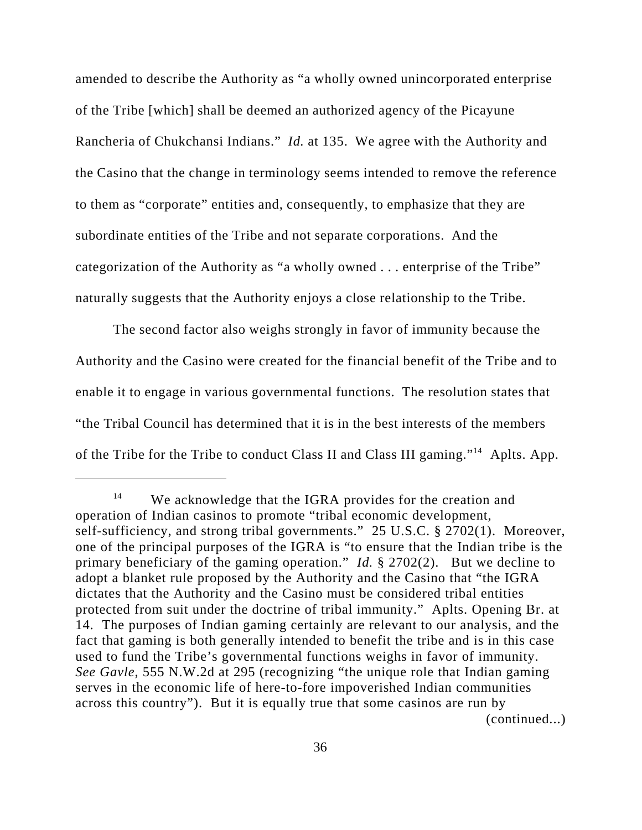amended to describe the Authority as "a wholly owned unincorporated enterprise of the Tribe [which] shall be deemed an authorized agency of the Picayune Rancheria of Chukchansi Indians." *Id.* at 135. We agree with the Authority and the Casino that the change in terminology seems intended to remove the reference to them as "corporate" entities and, consequently, to emphasize that they are subordinate entities of the Tribe and not separate corporations. And the categorization of the Authority as "a wholly owned . . . enterprise of the Tribe" naturally suggests that the Authority enjoys a close relationship to the Tribe.

The second factor also weighs strongly in favor of immunity because the Authority and the Casino were created for the financial benefit of the Tribe and to enable it to engage in various governmental functions. The resolution states that "the Tribal Council has determined that it is in the best interests of the members of the Tribe for the Tribe to conduct Class II and Class III gaming."14 Aplts. App.

<sup>&</sup>lt;sup>14</sup> We acknowledge that the IGRA provides for the creation and operation of Indian casinos to promote "tribal economic development, self-sufficiency, and strong tribal governments." 25 U.S.C. § 2702(1). Moreover, one of the principal purposes of the IGRA is "to ensure that the Indian tribe is the primary beneficiary of the gaming operation." *Id.* § 2702(2). But we decline to adopt a blanket rule proposed by the Authority and the Casino that "the IGRA dictates that the Authority and the Casino must be considered tribal entities protected from suit under the doctrine of tribal immunity." Aplts. Opening Br. at 14. The purposes of Indian gaming certainly are relevant to our analysis, and the fact that gaming is both generally intended to benefit the tribe and is in this case used to fund the Tribe's governmental functions weighs in favor of immunity. *See Gavle*, 555 N.W.2d at 295 (recognizing "the unique role that Indian gaming serves in the economic life of here-to-fore impoverished Indian communities across this country"). But it is equally true that some casinos are run by (continued...)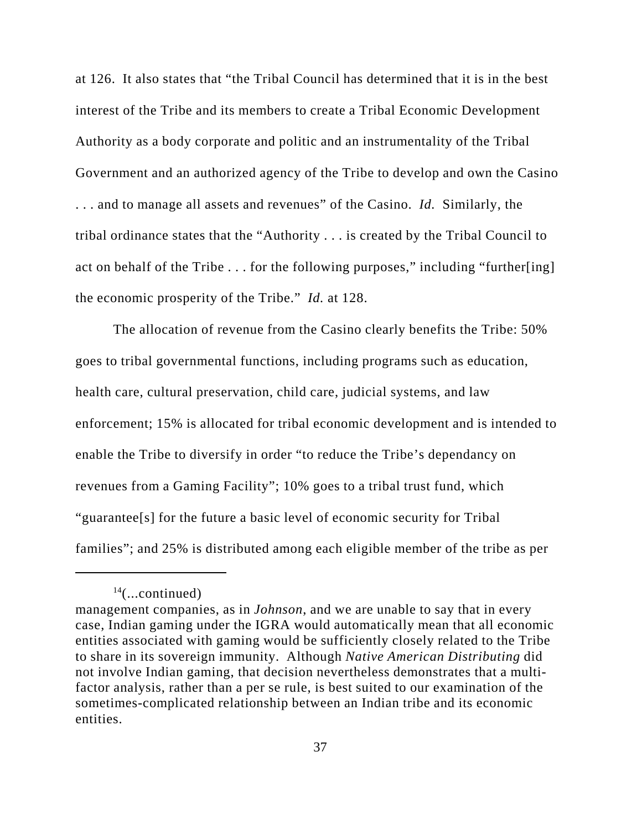at 126. It also states that "the Tribal Council has determined that it is in the best interest of the Tribe and its members to create a Tribal Economic Development Authority as a body corporate and politic and an instrumentality of the Tribal Government and an authorized agency of the Tribe to develop and own the Casino . . . and to manage all assets and revenues" of the Casino. *Id.* Similarly, the tribal ordinance states that the "Authority . . . is created by the Tribal Council to act on behalf of the Tribe . . . for the following purposes," including "further[ing] the economic prosperity of the Tribe." *Id.* at 128.

The allocation of revenue from the Casino clearly benefits the Tribe: 50% goes to tribal governmental functions, including programs such as education, health care, cultural preservation, child care, judicial systems, and law enforcement; 15% is allocated for tribal economic development and is intended to enable the Tribe to diversify in order "to reduce the Tribe's dependancy on revenues from a Gaming Facility"; 10% goes to a tribal trust fund, which "guarantee[s] for the future a basic level of economic security for Tribal families"; and 25% is distributed among each eligible member of the tribe as per

 $14$ (...continued)

management companies, as in *Johnson*, and we are unable to say that in every case, Indian gaming under the IGRA would automatically mean that all economic entities associated with gaming would be sufficiently closely related to the Tribe to share in its sovereign immunity. Although *Native American Distributing* did not involve Indian gaming, that decision nevertheless demonstrates that a multifactor analysis, rather than a per se rule, is best suited to our examination of the sometimes-complicated relationship between an Indian tribe and its economic entities.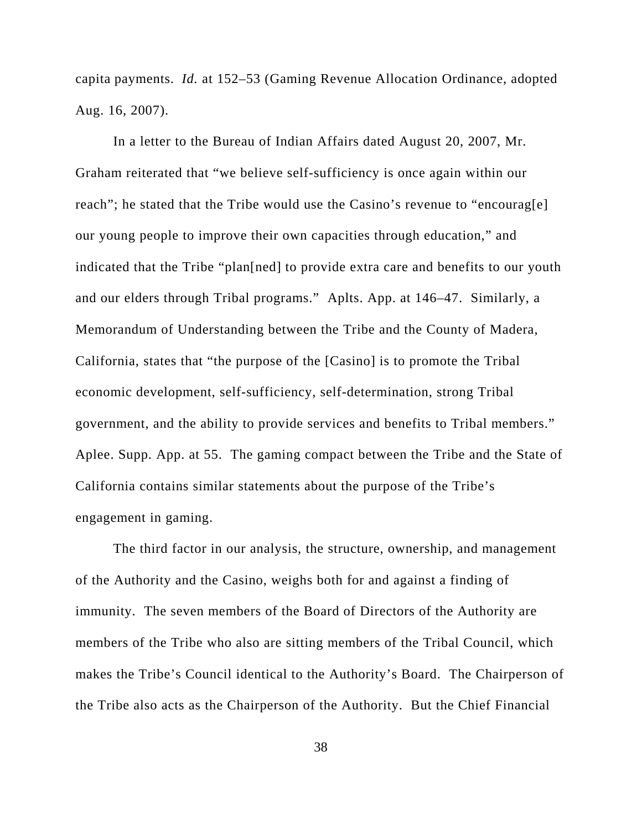capita payments. *Id.* at 152–53 (Gaming Revenue Allocation Ordinance, adopted Aug. 16, 2007).

In a letter to the Bureau of Indian Affairs dated August 20, 2007, Mr. Graham reiterated that "we believe self-sufficiency is once again within our reach"; he stated that the Tribe would use the Casino's revenue to "encourag[e] our young people to improve their own capacities through education," and indicated that the Tribe "plan[ned] to provide extra care and benefits to our youth and our elders through Tribal programs." Aplts. App. at 146–47. Similarly, a Memorandum of Understanding between the Tribe and the County of Madera, California, states that "the purpose of the [Casino] is to promote the Tribal economic development, self-sufficiency, self-determination, strong Tribal government, and the ability to provide services and benefits to Tribal members." Aplee. Supp. App. at 55. The gaming compact between the Tribe and the State of California contains similar statements about the purpose of the Tribe's engagement in gaming.

 The third factor in our analysis, the structure, ownership, and management of the Authority and the Casino, weighs both for and against a finding of immunity. The seven members of the Board of Directors of the Authority are members of the Tribe who also are sitting members of the Tribal Council, which makes the Tribe's Council identical to the Authority's Board.The Chairperson of the Tribe also acts as the Chairperson of the Authority. But the Chief Financial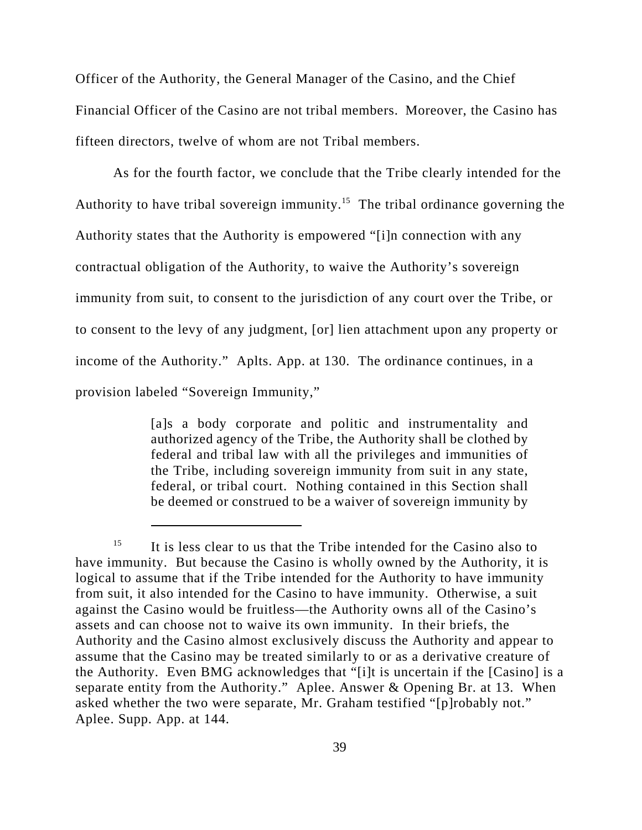Officer of the Authority, the General Manager of the Casino, and the Chief Financial Officer of the Casino are not tribal members. Moreover, the Casino has fifteen directors, twelve of whom are not Tribal members.

As for the fourth factor, we conclude that the Tribe clearly intended for the Authority to have tribal sovereign immunity.<sup>15</sup> The tribal ordinance governing the Authority states that the Authority is empowered "[i]n connection with any contractual obligation of the Authority, to waive the Authority's sovereign immunity from suit, to consent to the jurisdiction of any court over the Tribe, or to consent to the levy of any judgment, [or] lien attachment upon any property or income of the Authority." Aplts. App. at 130. The ordinance continues, in a provision labeled "Sovereign Immunity,"

> [a]s a body corporate and politic and instrumentality and authorized agency of the Tribe, the Authority shall be clothed by federal and tribal law with all the privileges and immunities of the Tribe, including sovereign immunity from suit in any state, federal, or tribal court. Nothing contained in this Section shall be deemed or construed to be a waiver of sovereign immunity by

 $15$  It is less clear to us that the Tribe intended for the Casino also to have immunity. But because the Casino is wholly owned by the Authority, it is logical to assume that if the Tribe intended for the Authority to have immunity from suit, it also intended for the Casino to have immunity. Otherwise, a suit against the Casino would be fruitless—the Authority owns all of the Casino's assets and can choose not to waive its own immunity*.* In their briefs, the Authority and the Casino almost exclusively discuss the Authority and appear to assume that the Casino may be treated similarly to or as a derivative creature of the Authority. Even BMG acknowledges that "[i]t is uncertain if the [Casino] is a separate entity from the Authority." Aplee. Answer & Opening Br. at 13. When asked whether the two were separate, Mr. Graham testified "[p]robably not." Aplee. Supp. App. at 144.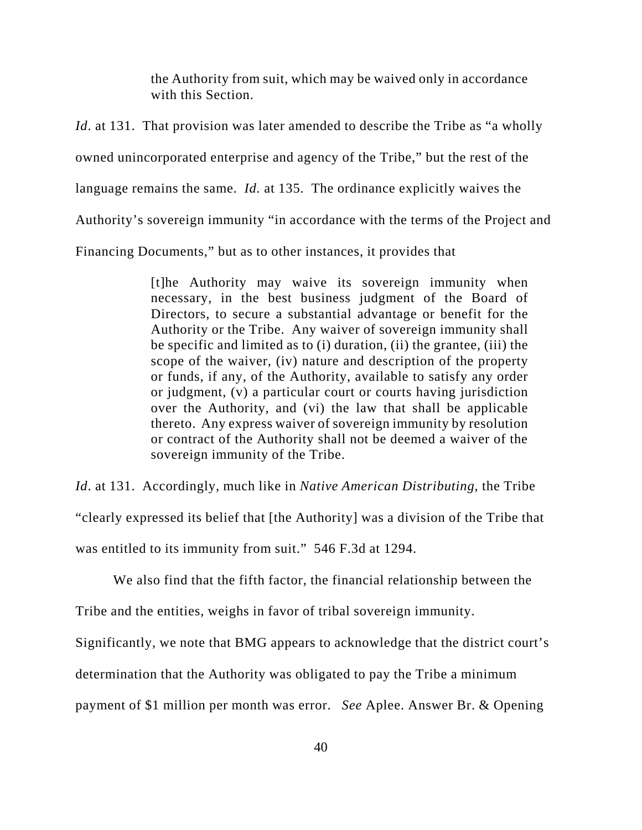the Authority from suit, which may be waived only in accordance with this Section.

*Id.* at 131. That provision was later amended to describe the Tribe as "a wholly owned unincorporated enterprise and agency of the Tribe," but the rest of the language remains the same. *Id.* at 135. The ordinance explicitly waives the Authority's sovereign immunity "in accordance with the terms of the Project and Financing Documents," but as to other instances, it provides that

> [t]he Authority may waive its sovereign immunity when necessary, in the best business judgment of the Board of Directors, to secure a substantial advantage or benefit for the Authority or the Tribe. Any waiver of sovereign immunity shall be specific and limited as to (i) duration, (ii) the grantee, (iii) the scope of the waiver, (iv) nature and description of the property or funds, if any, of the Authority, available to satisfy any order or judgment, (v) a particular court or courts having jurisdiction over the Authority, and (vi) the law that shall be applicable thereto. Any express waiver of sovereign immunity by resolution or contract of the Authority shall not be deemed a waiver of the sovereign immunity of the Tribe.

*Id*. at 131. Accordingly, much like in *Native American Distributing*, the Tribe "clearly expressed its belief that [the Authority] was a division of the Tribe that was entitled to its immunity from suit." 546 F.3d at 1294.

We also find that the fifth factor, the financial relationship between the

Tribe and the entities, weighs in favor of tribal sovereign immunity.

Significantly, we note that BMG appears to acknowledge that the district court's

determination that the Authority was obligated to pay the Tribe a minimum

payment of \$1 million per month was error. *See* Aplee. Answer Br. & Opening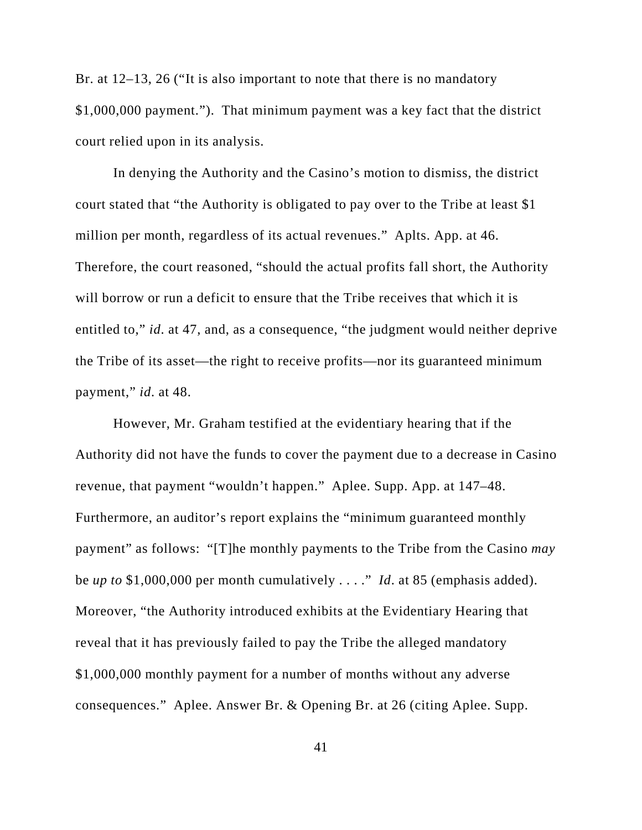Br. at 12–13, 26 ("It is also important to note that there is no mandatory \$1,000,000 payment."). That minimum payment was a key fact that the district court relied upon in its analysis.

In denying the Authority and the Casino's motion to dismiss, the district court stated that "the Authority is obligated to pay over to the Tribe at least \$1 million per month, regardless of its actual revenues." Aplts. App. at 46. Therefore, the court reasoned, "should the actual profits fall short, the Authority will borrow or run a deficit to ensure that the Tribe receives that which it is entitled to," *id*. at 47, and, as a consequence, "the judgment would neither deprive the Tribe of its asset—the right to receive profits—nor its guaranteed minimum payment," *id*. at 48.

However, Mr. Graham testified at the evidentiary hearing that if the Authority did not have the funds to cover the payment due to a decrease in Casino revenue, that payment "wouldn't happen." Aplee. Supp. App. at 147–48. Furthermore, an auditor's report explains the "minimum guaranteed monthly payment" as follows: "[T]he monthly payments to the Tribe from the Casino *may* be *up to* \$1,000,000 per month cumulatively . . . ." *Id*. at 85 (emphasis added). Moreover, "the Authority introduced exhibits at the Evidentiary Hearing that reveal that it has previously failed to pay the Tribe the alleged mandatory \$1,000,000 monthly payment for a number of months without any adverse consequences." Aplee. Answer Br. & Opening Br. at 26 (citing Aplee. Supp.

41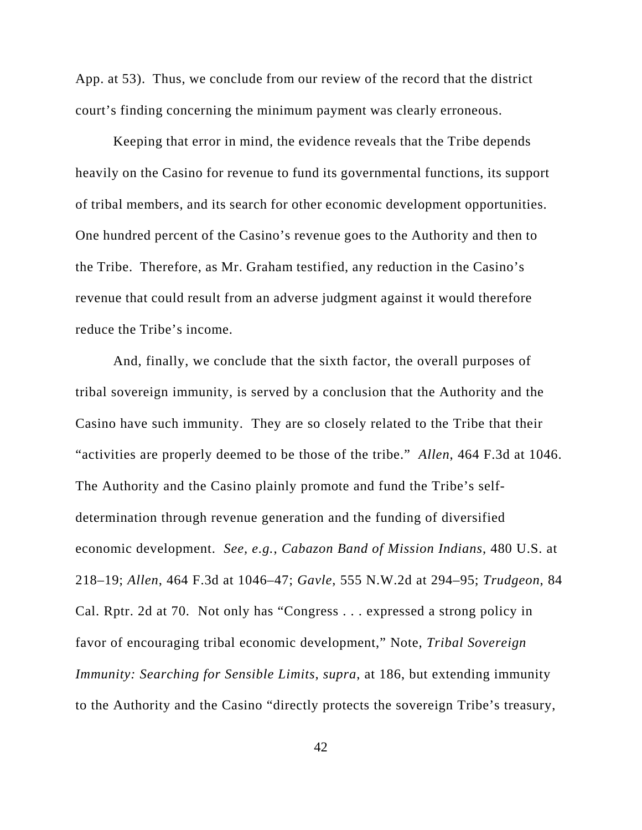App. at 53). Thus, we conclude from our review of the record that the district court's finding concerning the minimum payment was clearly erroneous.

Keeping that error in mind, the evidence reveals that the Tribe depends heavily on the Casino for revenue to fund its governmental functions, its support of tribal members, and its search for other economic development opportunities. One hundred percent of the Casino's revenue goes to the Authority and then to the Tribe. Therefore, as Mr. Graham testified, any reduction in the Casino's revenue that could result from an adverse judgment against it would therefore reduce the Tribe's income.

And, finally, we conclude that the sixth factor, the overall purposes of tribal sovereign immunity, is served by a conclusion that the Authority and the Casino have such immunity. They are so closely related to the Tribe that their "activities are properly deemed to be those of the tribe." *Allen*, 464 F.3d at 1046. The Authority and the Casino plainly promote and fund the Tribe's selfdetermination through revenue generation and the funding of diversified economic development. *See, e.g.*, *Cabazon Band of Mission Indians*, 480 U.S. at 218–19; *Allen*, 464 F.3d at 1046–47; *Gavle*, 555 N.W.2d at 294–95; *Trudgeon*, 84 Cal. Rptr. 2d at 70. Not only has "Congress . . . expressed a strong policy in favor of encouraging tribal economic development," Note, *Tribal Sovereign Immunity: Searching for Sensible Limits*, *supra*, at 186, but extending immunity to the Authority and the Casino "directly protects the sovereign Tribe's treasury,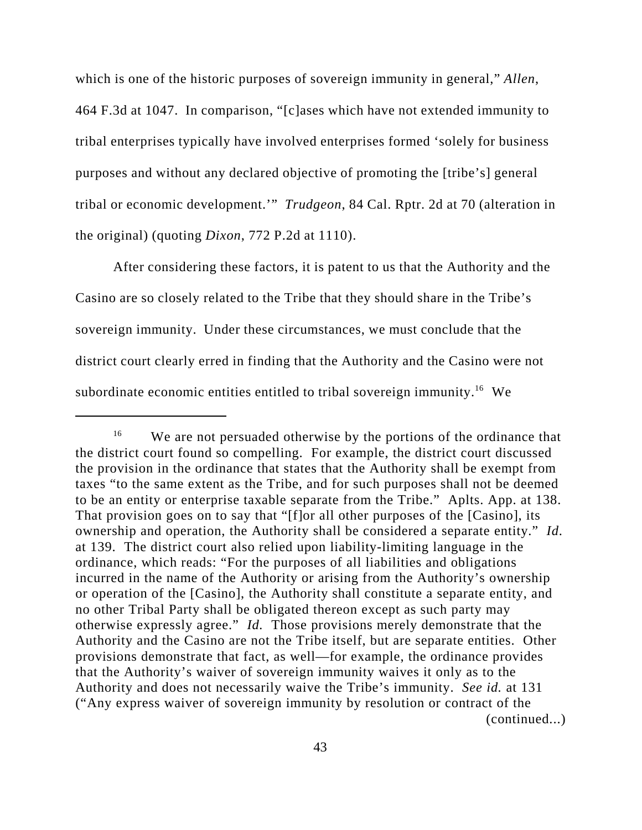which is one of the historic purposes of sovereign immunity in general," *Allen*, 464 F.3d at 1047. In comparison, "[c]ases which have not extended immunity to tribal enterprises typically have involved enterprises formed 'solely for business purposes and without any declared objective of promoting the [tribe's] general tribal or economic development.'" *Trudgeon*, 84 Cal. Rptr. 2d at 70 (alteration in the original) (quoting *Dixon*, 772 P.2d at 1110).

After considering these factors, it is patent to us that the Authority and the Casino are so closely related to the Tribe that they should share in the Tribe's sovereign immunity. Under these circumstances, we must conclude that the district court clearly erred in finding that the Authority and the Casino were not subordinate economic entities entitled to tribal sovereign immunity.<sup>16</sup> We

<sup>&</sup>lt;sup>16</sup> We are not persuaded otherwise by the portions of the ordinance that the district court found so compelling. For example, the district court discussed the provision in the ordinance that states that the Authority shall be exempt from taxes "to the same extent as the Tribe, and for such purposes shall not be deemed to be an entity or enterprise taxable separate from the Tribe." Aplts. App. at 138. That provision goes on to say that "[f]or all other purposes of the [Casino], its ownership and operation, the Authority shall be considered a separate entity." *Id*. at 139. The district court also relied upon liability-limiting language in the ordinance, which reads: "For the purposes of all liabilities and obligations incurred in the name of the Authority or arising from the Authority's ownership or operation of the [Casino], the Authority shall constitute a separate entity, and no other Tribal Party shall be obligated thereon except as such party may otherwise expressly agree." *Id.* Those provisions merely demonstrate that the Authority and the Casino are not the Tribe itself, but are separate entities. Other provisions demonstrate that fact, as well—for example, the ordinance provides that the Authority's waiver of sovereign immunity waives it only as to the Authority and does not necessarily waive the Tribe's immunity. *See id.* at 131 ("Any express waiver of sovereign immunity by resolution or contract of the (continued...)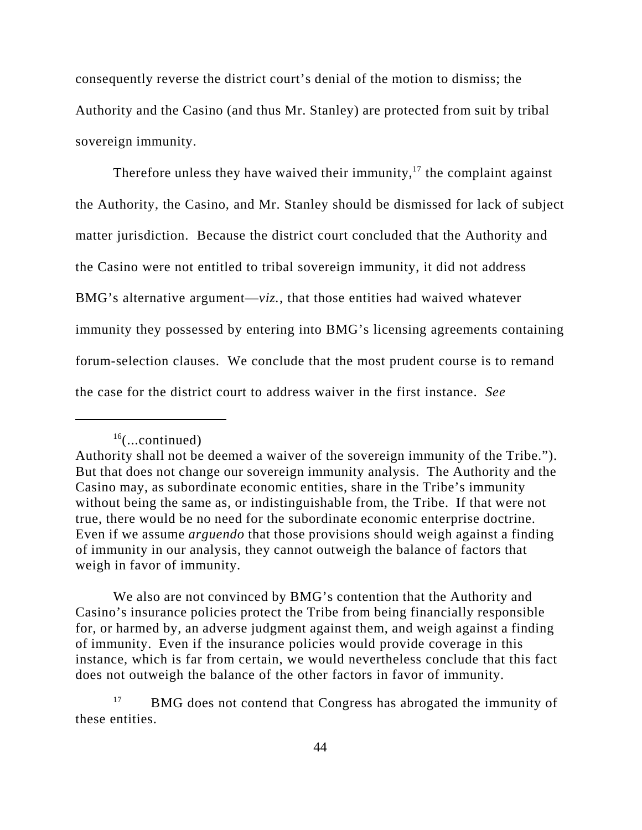consequently reverse the district court's denial of the motion to dismiss; the Authority and the Casino (and thus Mr. Stanley) are protected from suit by tribal sovereign immunity.

Therefore unless they have waived their immunity,<sup>17</sup> the complaint against the Authority, the Casino, and Mr. Stanley should be dismissed for lack of subject matter jurisdiction. Because the district court concluded that the Authority and the Casino were not entitled to tribal sovereign immunity, it did not address BMG's alternative argument—*viz.*, that those entities had waived whatever immunity they possessed by entering into BMG's licensing agreements containing forum-selection clauses. We conclude that the most prudent course is to remand the case for the district court to address waiver in the first instance. *See*

We also are not convinced by BMG's contention that the Authority and Casino's insurance policies protect the Tribe from being financially responsible for, or harmed by, an adverse judgment against them, and weigh against a finding of immunity. Even if the insurance policies would provide coverage in this instance, which is far from certain, we would nevertheless conclude that this fact does not outweigh the balance of the other factors in favor of immunity.

 $16$ (...continued)

Authority shall not be deemed a waiver of the sovereign immunity of the Tribe."). But that does not change our sovereign immunity analysis. The Authority and the Casino may, as subordinate economic entities, share in the Tribe's immunity without being the same as, or indistinguishable from, the Tribe. If that were not true, there would be no need for the subordinate economic enterprise doctrine. Even if we assume *arguendo* that those provisions should weigh against a finding of immunity in our analysis, they cannot outweigh the balance of factors that weigh in favor of immunity.

 $17$  BMG does not contend that Congress has abrogated the immunity of these entities.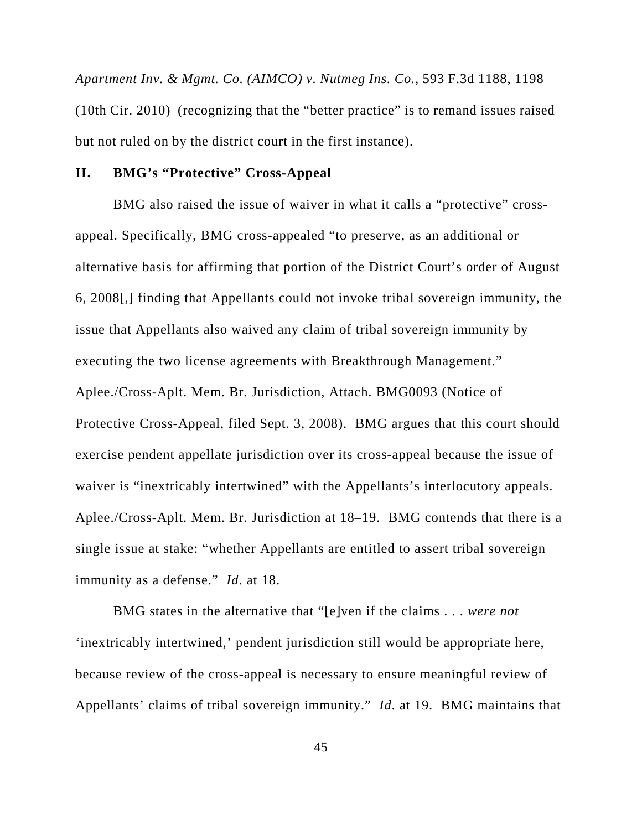*Apartment Inv. & Mgmt. Co. (AIMCO) v. Nutmeg Ins. Co.*, 593 F.3d 1188, 1198 (10th Cir. 2010) (recognizing that the "better practice" is to remand issues raised but not ruled on by the district court in the first instance).

#### **II. BMG's "Protective" Cross-Appeal**

BMG also raised the issue of waiver in what it calls a "protective" crossappeal. Specifically, BMG cross-appealed "to preserve, as an additional or alternative basis for affirming that portion of the District Court's order of August 6, 2008[,] finding that Appellants could not invoke tribal sovereign immunity, the issue that Appellants also waived any claim of tribal sovereign immunity by executing the two license agreements with Breakthrough Management." Aplee./Cross-Aplt. Mem. Br. Jurisdiction, Attach. BMG0093 (Notice of Protective Cross-Appeal, filed Sept. 3, 2008). BMG argues that this court should exercise pendent appellate jurisdiction over its cross-appeal because the issue of waiver is "inextricably intertwined" with the Appellants's interlocutory appeals. Aplee./Cross-Aplt. Mem. Br. Jurisdiction at 18–19. BMG contends that there is a single issue at stake: "whether Appellants are entitled to assert tribal sovereign immunity as a defense." *Id*. at 18.

BMG states in the alternative that "[e]ven if the claims . . . *were not* 'inextricably intertwined,' pendent jurisdiction still would be appropriate here, because review of the cross-appeal is necessary to ensure meaningful review of Appellants' claims of tribal sovereign immunity." *Id*. at 19. BMG maintains that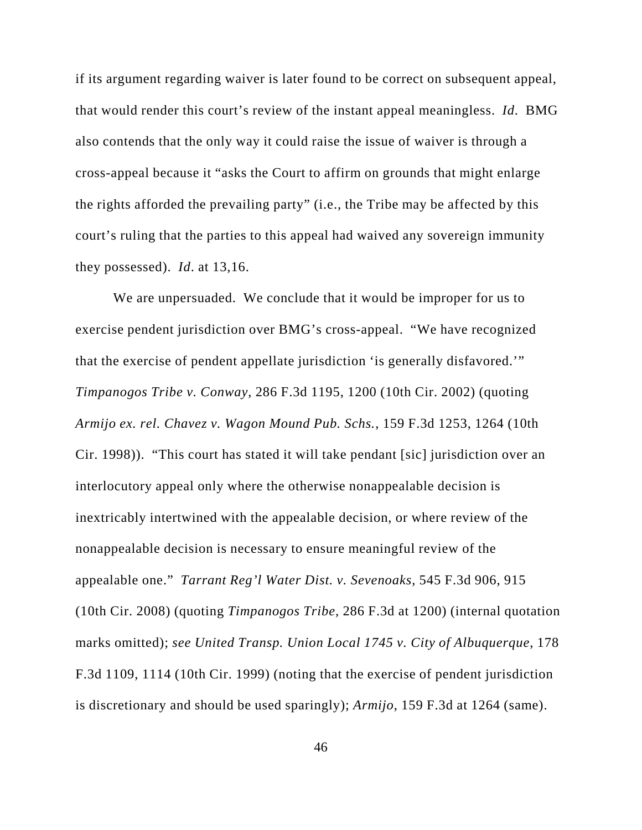if its argument regarding waiver is later found to be correct on subsequent appeal, that would render this court's review of the instant appeal meaningless. *Id*. BMG also contends that the only way it could raise the issue of waiver is through a cross-appeal because it "asks the Court to affirm on grounds that might enlarge the rights afforded the prevailing party" (i.e., the Tribe may be affected by this court's ruling that the parties to this appeal had waived any sovereign immunity they possessed). *Id*. at 13,16.

We are unpersuaded. We conclude that it would be improper for us to exercise pendent jurisdiction over BMG's cross-appeal. "We have recognized that the exercise of pendent appellate jurisdiction 'is generally disfavored.'" *Timpanogos Tribe v. Conway*, 286 F.3d 1195, 1200 (10th Cir. 2002) (quoting *Armijo ex. rel. Chavez v. Wagon Mound Pub. Schs.*, 159 F.3d 1253, 1264 (10th Cir. 1998)). "This court has stated it will take pendant [sic] jurisdiction over an interlocutory appeal only where the otherwise nonappealable decision is inextricably intertwined with the appealable decision, or where review of the nonappealable decision is necessary to ensure meaningful review of the appealable one." *Tarrant Reg'l Water Dist. v. Sevenoaks*, 545 F.3d 906, 915 (10th Cir. 2008) (quoting *Timpanogos Tribe*, 286 F.3d at 1200) (internal quotation marks omitted); *see United Transp. Union Local 1745 v. City of Albuquerque*, 178 F.3d 1109, 1114 (10th Cir. 1999) (noting that the exercise of pendent jurisdiction is discretionary and should be used sparingly); *Armijo*, 159 F.3d at 1264 (same).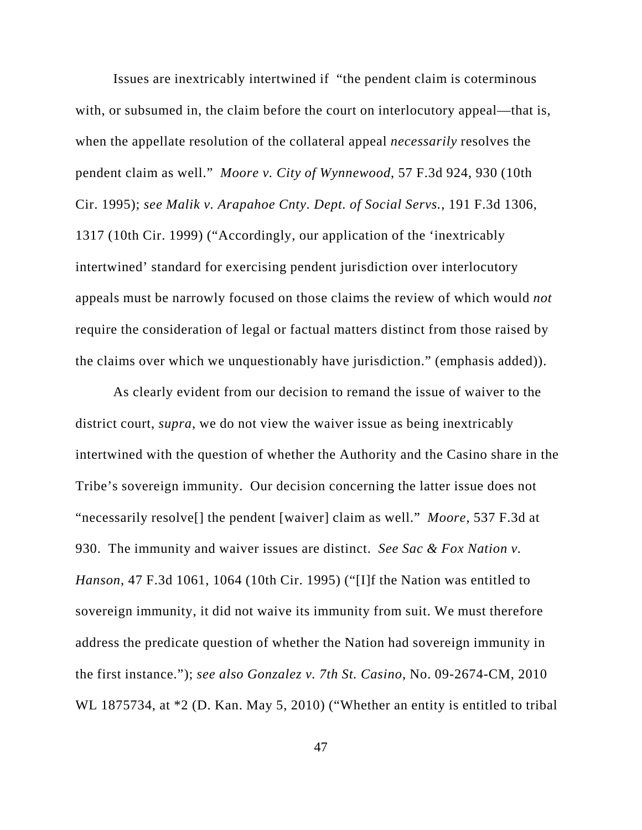Issues are inextricably intertwined if "the pendent claim is coterminous with, or subsumed in, the claim before the court on interlocutory appeal—that is, when the appellate resolution of the collateral appeal *necessarily* resolves the pendent claim as well." *Moore v. City of Wynnewood*, 57 F.3d 924, 930 (10th Cir. 1995); *see Malik v. Arapahoe Cnty. Dept. of Social Servs.*, 191 F.3d 1306, 1317 (10th Cir. 1999) ("Accordingly, our application of the 'inextricably intertwined' standard for exercising pendent jurisdiction over interlocutory appeals must be narrowly focused on those claims the review of which would *not* require the consideration of legal or factual matters distinct from those raised by the claims over which we unquestionably have jurisdiction." (emphasis added)).

As clearly evident from our decision to remand the issue of waiver to the district court, *supra*, we do not view the waiver issue as being inextricably intertwined with the question of whether the Authority and the Casino share in the Tribe's sovereign immunity. Our decision concerning the latter issue does not "necessarily resolve[] the pendent [waiver] claim as well." *Moore*, 537 F.3d at 930. The immunity and waiver issues are distinct. *See Sac & Fox Nation v. Hanson*, 47 F.3d 1061, 1064 (10th Cir. 1995) ("[I]f the Nation was entitled to sovereign immunity, it did not waive its immunity from suit. We must therefore address the predicate question of whether the Nation had sovereign immunity in the first instance."); *see also Gonzalez v. 7th St. Casino*, No. 09-2674-CM, 2010 WL 1875734, at  $*2$  (D. Kan. May 5, 2010) ("Whether an entity is entitled to tribal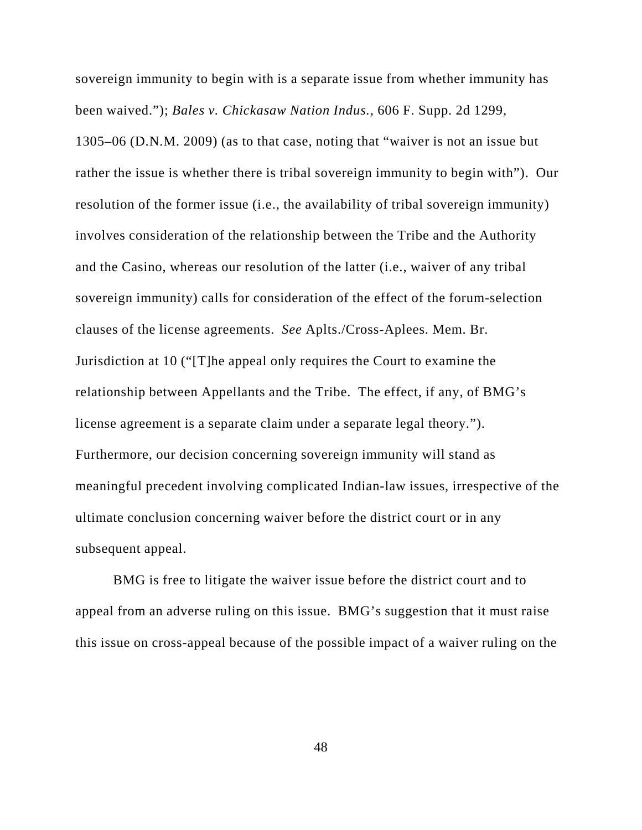sovereign immunity to begin with is a separate issue from whether immunity has been waived."); *Bales v. Chickasaw Nation Indus.*, 606 F. Supp. 2d 1299,

1305–06 (D.N.M. 2009) (as to that case, noting that "waiver is not an issue but rather the issue is whether there is tribal sovereign immunity to begin with"). Our resolution of the former issue (i.e., the availability of tribal sovereign immunity) involves consideration of the relationship between the Tribe and the Authority and the Casino, whereas our resolution of the latter (i.e., waiver of any tribal sovereign immunity) calls for consideration of the effect of the forum-selection clauses of the license agreements. *See* Aplts./Cross-Aplees. Mem. Br. Jurisdiction at 10 ("[T]he appeal only requires the Court to examine the relationship between Appellants and the Tribe. The effect, if any, of BMG's license agreement is a separate claim under a separate legal theory."). Furthermore, our decision concerning sovereign immunity will stand as meaningful precedent involving complicated Indian-law issues, irrespective of the ultimate conclusion concerning waiver before the district court or in any subsequent appeal.

BMG is free to litigate the waiver issue before the district court and to appeal from an adverse ruling on this issue. BMG's suggestion that it must raise this issue on cross-appeal because of the possible impact of a waiver ruling on the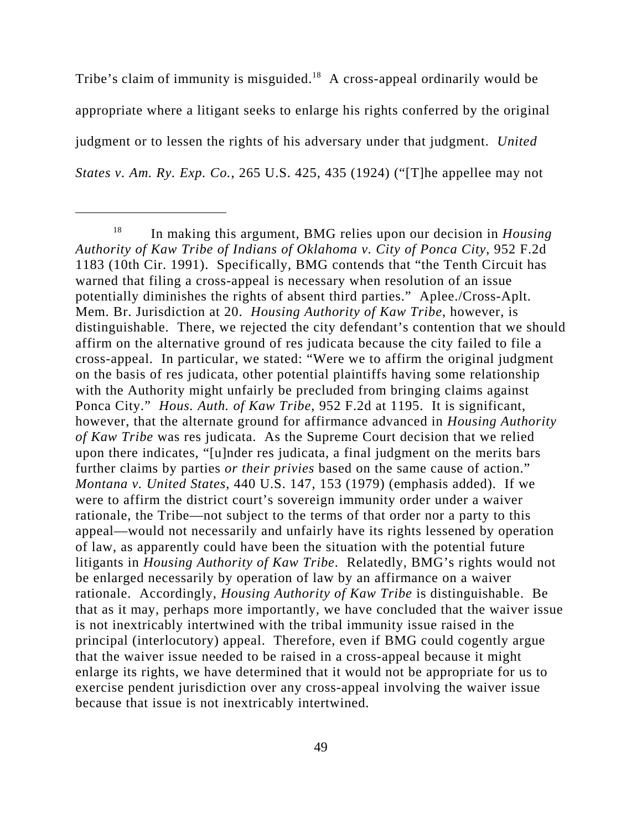Tribe's claim of immunity is misguided.<sup>18</sup> A cross-appeal ordinarily would be appropriate where a litigant seeks to enlarge his rights conferred by the original judgment or to lessen the rights of his adversary under that judgment. *United States v. Am. Ry. Exp. Co.*, 265 U.S. 425, 435 (1924) ("[T]he appellee may not

<sup>18</sup> In making this argument, BMG relies upon our decision in *Housing Authority of Kaw Tribe of Indians of Oklahoma v. City of Ponca City*, 952 F.2d 1183 (10th Cir. 1991). Specifically, BMG contends that "the Tenth Circuit has warned that filing a cross-appeal is necessary when resolution of an issue potentially diminishes the rights of absent third parties." Aplee./Cross-Aplt. Mem. Br. Jurisdiction at 20. *Housing Authority of Kaw Tribe*, however, is distinguishable. There, we rejected the city defendant's contention that we should affirm on the alternative ground of res judicata because the city failed to file a cross-appeal. In particular, we stated: "Were we to affirm the original judgment on the basis of res judicata, other potential plaintiffs having some relationship with the Authority might unfairly be precluded from bringing claims against Ponca City." *Hous. Auth. of Kaw Tribe*, 952 F.2d at 1195. It is significant, however, that the alternate ground for affirmance advanced in *Housing Authority of Kaw Tribe* was res judicata. As the Supreme Court decision that we relied upon there indicates, "[u]nder res judicata, a final judgment on the merits bars further claims by parties *or their privies* based on the same cause of action." *Montana v. United States*, 440 U.S. 147, 153 (1979) (emphasis added). If we were to affirm the district court's sovereign immunity order under a waiver rationale, the Tribe—not subject to the terms of that order nor a party to this appeal—would not necessarily and unfairly have its rights lessened by operation of law, as apparently could have been the situation with the potential future litigants in *Housing Authority of Kaw Tribe*. Relatedly, BMG's rights would not be enlarged necessarily by operation of law by an affirmance on a waiver rationale. Accordingly, *Housing Authority of Kaw Tribe* is distinguishable. Be that as it may, perhaps more importantly, we have concluded that the waiver issue is not inextricably intertwined with the tribal immunity issue raised in the principal (interlocutory) appeal. Therefore, even if BMG could cogently argue that the waiver issue needed to be raised in a cross-appeal because it might enlarge its rights, we have determined that it would not be appropriate for us to exercise pendent jurisdiction over any cross-appeal involving the waiver issue because that issue is not inextricably intertwined.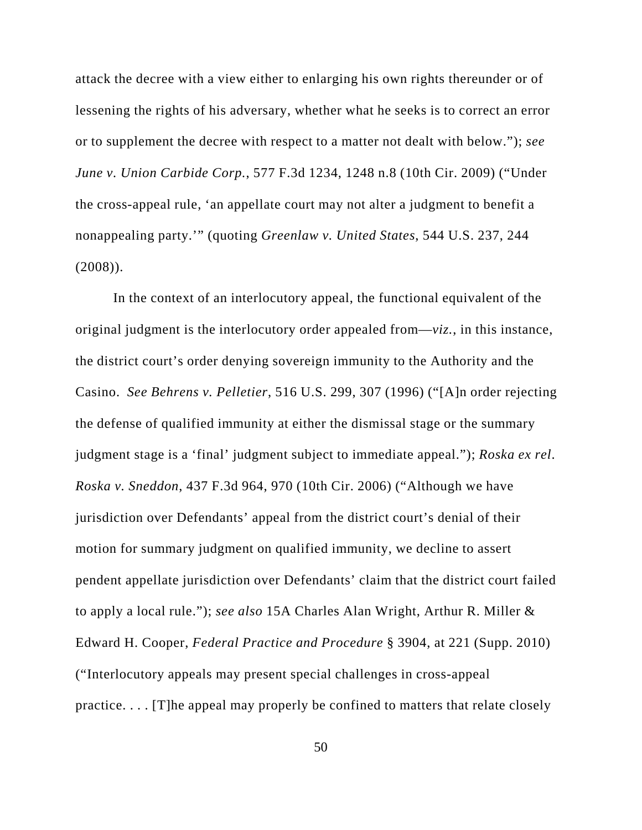attack the decree with a view either to enlarging his own rights thereunder or of lessening the rights of his adversary, whether what he seeks is to correct an error or to supplement the decree with respect to a matter not dealt with below."); *see June v. Union Carbide Corp.*, 577 F.3d 1234, 1248 n.8 (10th Cir. 2009) ("Under the cross-appeal rule, 'an appellate court may not alter a judgment to benefit a nonappealing party.'" (quoting *Greenlaw v. United States*, 544 U.S. 237, 244  $(2008)$ ).

In the context of an interlocutory appeal, the functional equivalent of the original judgment is the interlocutory order appealed from—*viz.*, in this instance, the district court's order denying sovereign immunity to the Authority and the Casino. *See Behrens v. Pelletier*, 516 U.S. 299, 307 (1996) ("[A]n order rejecting the defense of qualified immunity at either the dismissal stage or the summary judgment stage is a 'final' judgment subject to immediate appeal."); *Roska ex rel*. *Roska v. Sneddon*, 437 F.3d 964, 970 (10th Cir. 2006) ("Although we have jurisdiction over Defendants' appeal from the district court's denial of their motion for summary judgment on qualified immunity, we decline to assert pendent appellate jurisdiction over Defendants' claim that the district court failed to apply a local rule."); *see also* 15A Charles Alan Wright, Arthur R. Miller & Edward H. Cooper, *Federal Practice and Procedure* § 3904, at 221 (Supp. 2010) ("Interlocutory appeals may present special challenges in cross-appeal practice. . . . [T]he appeal may properly be confined to matters that relate closely